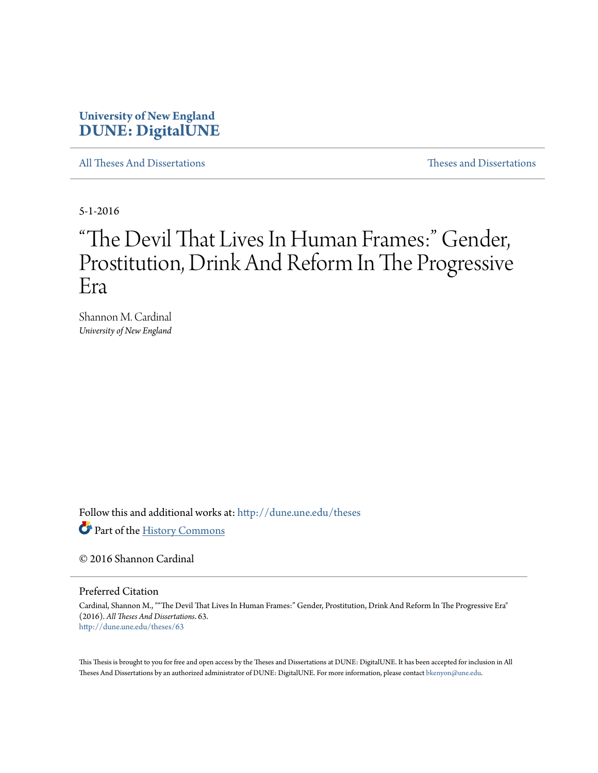# **University of New England [DUNE: DigitalUNE](http://dune.une.edu?utm_source=dune.une.edu%2Ftheses%2F63&utm_medium=PDF&utm_campaign=PDFCoverPages)**

[All Theses And Dissertations](http://dune.une.edu/theses?utm_source=dune.une.edu%2Ftheses%2F63&utm_medium=PDF&utm_campaign=PDFCoverPages) [Theses and Dissertations](http://dune.une.edu/theses_dissertations?utm_source=dune.une.edu%2Ftheses%2F63&utm_medium=PDF&utm_campaign=PDFCoverPages)

5-1-2016

# "The Devil That Lives In Human Frames:" Gender, Prostitution, Drink And Reform In The Progressive Era

Shannon M. Cardinal *University of New England*

Follow this and additional works at: [http://dune.une.edu/theses](http://dune.une.edu/theses?utm_source=dune.une.edu%2Ftheses%2F63&utm_medium=PDF&utm_campaign=PDFCoverPages)

Part of the [History Commons](http://network.bepress.com/hgg/discipline/489?utm_source=dune.une.edu%2Ftheses%2F63&utm_medium=PDF&utm_campaign=PDFCoverPages)

© 2016 Shannon Cardinal

Preferred Citation

Cardinal, Shannon M., ""The Devil That Lives In Human Frames:" Gender, Prostitution, Drink And Reform In The Progressive Era" (2016). *All Theses And Dissertations*. 63. [http://dune.une.edu/theses/63](http://dune.une.edu/theses/63?utm_source=dune.une.edu%2Ftheses%2F63&utm_medium=PDF&utm_campaign=PDFCoverPages)

This Thesis is brought to you for free and open access by the Theses and Dissertations at DUNE: DigitalUNE. It has been accepted for inclusion in All Theses And Dissertations by an authorized administrator of DUNE: DigitalUNE. For more information, please contact [bkenyon@une.edu.](mailto:bkenyon@une.edu)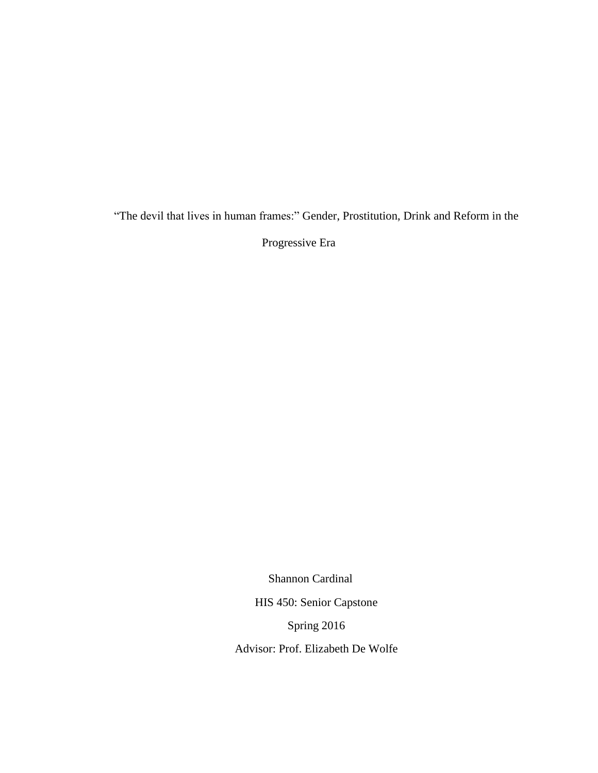"The devil that lives in human frames:" Gender, Prostitution, Drink and Reform in the

Progressive Era

Shannon Cardinal

HIS 450: Senior Capstone

Spring 2016

Advisor: Prof. Elizabeth De Wolfe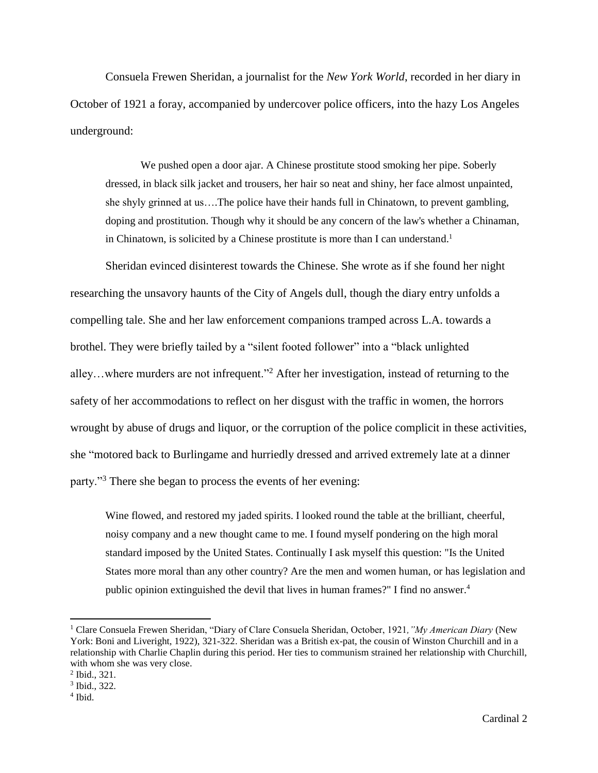Consuela Frewen Sheridan, a journalist for the *New York World*, recorded in her diary in October of 1921 a foray, accompanied by undercover police officers, into the hazy Los Angeles underground:

We pushed open a door ajar. A Chinese prostitute stood smoking her pipe. Soberly dressed, in black silk jacket and trousers, her hair so neat and shiny, her face almost unpainted, she shyly grinned at us….The police have their hands full in Chinatown, to prevent gambling, doping and prostitution. Though why it should be any concern of the law's whether a Chinaman, in Chinatown, is solicited by a Chinese prostitute is more than I can understand.<sup>1</sup>

Sheridan evinced disinterest towards the Chinese. She wrote as if she found her night researching the unsavory haunts of the City of Angels dull, though the diary entry unfolds a compelling tale. She and her law enforcement companions tramped across L.A. towards a brothel. They were briefly tailed by a "silent footed follower" into a "black unlighted alley…where murders are not infrequent."<sup>2</sup> After her investigation, instead of returning to the safety of her accommodations to reflect on her disgust with the traffic in women, the horrors wrought by abuse of drugs and liquor, or the corruption of the police complicit in these activities, she "motored back to Burlingame and hurriedly dressed and arrived extremely late at a dinner party."<sup>3</sup> There she began to process the events of her evening:

Wine flowed, and restored my jaded spirits. I looked round the table at the brilliant, cheerful, noisy company and a new thought came to me. I found myself pondering on the high moral standard imposed by the United States. Continually I ask myself this question: "Is the United States more moral than any other country? Are the men and women human, or has legislation and public opinion extinguished the devil that lives in human frames?" I find no answer.<sup>4</sup>

<sup>1</sup> Clare Consuela Frewen Sheridan, "Diary of Clare Consuela Sheridan, October, 1921*,"My American Diary* (New York: Boni and Liveright, 1922), 321-322. Sheridan was a British ex-pat, the cousin of Winston Churchill and in a relationship with Charlie Chaplin during this period. Her ties to communism strained her relationship with Churchill, with whom she was very close.

<sup>2</sup> Ibid., 321.

<sup>3</sup> Ibid., 322.

<sup>4</sup> Ibid.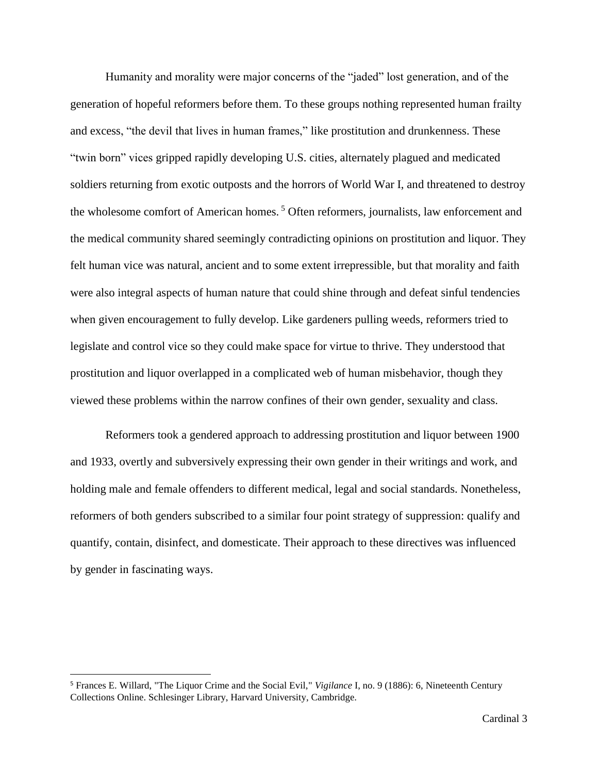Humanity and morality were major concerns of the "jaded" lost generation, and of the generation of hopeful reformers before them. To these groups nothing represented human frailty and excess, "the devil that lives in human frames," like prostitution and drunkenness. These "twin born" vices gripped rapidly developing U.S. cities, alternately plagued and medicated soldiers returning from exotic outposts and the horrors of World War I, and threatened to destroy the wholesome comfort of American homes.<sup>5</sup> Often reformers, journalists, law enforcement and the medical community shared seemingly contradicting opinions on prostitution and liquor. They felt human vice was natural, ancient and to some extent irrepressible, but that morality and faith were also integral aspects of human nature that could shine through and defeat sinful tendencies when given encouragement to fully develop. Like gardeners pulling weeds, reformers tried to legislate and control vice so they could make space for virtue to thrive. They understood that prostitution and liquor overlapped in a complicated web of human misbehavior, though they viewed these problems within the narrow confines of their own gender, sexuality and class.

Reformers took a gendered approach to addressing prostitution and liquor between 1900 and 1933, overtly and subversively expressing their own gender in their writings and work, and holding male and female offenders to different medical, legal and social standards. Nonetheless, reformers of both genders subscribed to a similar four point strategy of suppression: qualify and quantify, contain, disinfect, and domesticate. Their approach to these directives was influenced by gender in fascinating ways.

l

<sup>5</sup> Frances E. Willard, "The Liquor Crime and the Social Evil," *Vigilance* I, no. 9 (1886): 6, Nineteenth Century Collections Online. Schlesinger Library, Harvard University, Cambridge.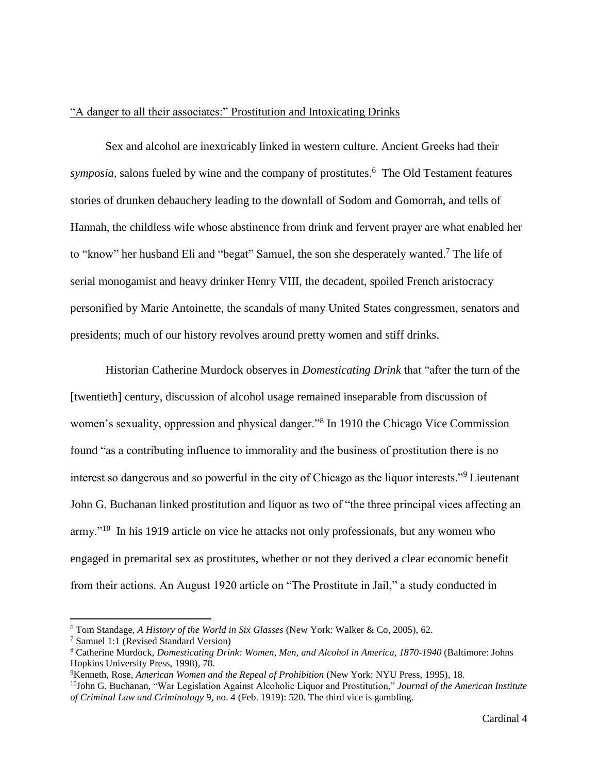#### "A danger to all their associates:" Prostitution and Intoxicating Drinks

Sex and alcohol are inextricably linked in western culture. Ancient Greeks had their *symposia*, salons fueled by wine and the company of prostitutes.<sup>6</sup> The Old Testament features stories of drunken debauchery leading to the downfall of Sodom and Gomorrah, and tells of Hannah, the childless wife whose abstinence from drink and fervent prayer are what enabled her to "know" her husband Eli and "begat" Samuel, the son she desperately wanted.<sup>7</sup> The life of serial monogamist and heavy drinker Henry VIII, the decadent, spoiled French aristocracy personified by Marie Antoinette, the scandals of many United States congressmen, senators and presidents; much of our history revolves around pretty women and stiff drinks.

Historian Catherine Murdock observes in *Domesticating Drink* that "after the turn of the [twentieth] century, discussion of alcohol usage remained inseparable from discussion of women's sexuality, oppression and physical danger."<sup>8</sup> In 1910 the Chicago Vice Commission found "as a contributing influence to immorality and the business of prostitution there is no interest so dangerous and so powerful in the city of Chicago as the liquor interests."<sup>9</sup> Lieutenant John G. Buchanan linked prostitution and liquor as two of "the three principal vices affecting an army."<sup>10</sup> In his 1919 article on vice he attacks not only professionals, but any women who engaged in premarital sex as prostitutes, whether or not they derived a clear economic benefit from their actions. An August 1920 article on "The Prostitute in Jail," a study conducted in

<sup>6</sup> Tom Standage, *A History of the World in Six Glasses* (New York: Walker & Co, 2005), 62.

<sup>7</sup> Samuel 1:1 (Revised Standard Version)

<sup>8</sup> Catherine Murdock, *Domesticating Drink: Women, Men, and Alcohol in America, 1870-1940* (Baltimore: Johns Hopkins University Press, 1998), 78.

<sup>9</sup>Kenneth, Rose, *American Women and the Repeal of Prohibition* (New York: NYU Press, 1995), 18.

<sup>10</sup>John G. Buchanan, "War Legislation Against Alcoholic Liquor and Prostitution," *Journal of the American Institute of Criminal Law and Criminology* 9, no. 4 (Feb. 1919): 520. The third vice is gambling.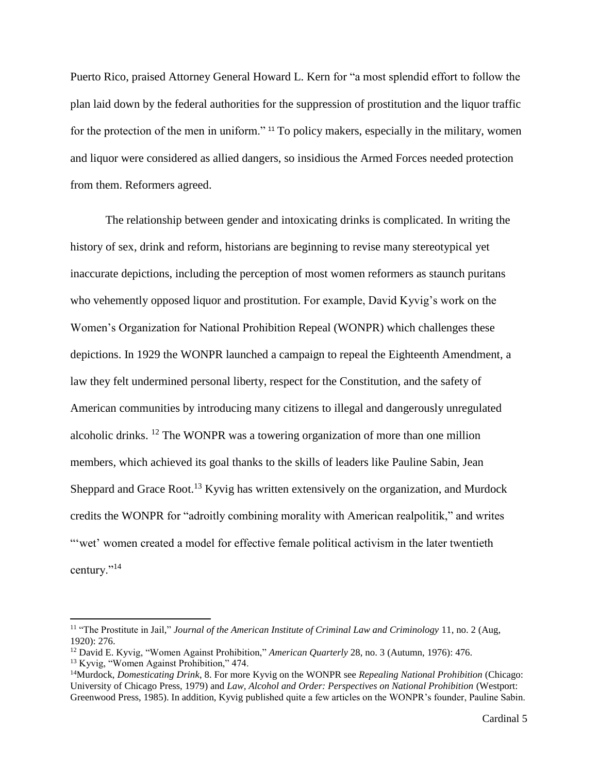Puerto Rico, praised Attorney General Howard L. Kern for "a most splendid effort to follow the plan laid down by the federal authorities for the suppression of prostitution and the liquor traffic for the protection of the men in uniform." <sup>11</sup> To policy makers, especially in the military, women and liquor were considered as allied dangers, so insidious the Armed Forces needed protection from them. Reformers agreed.

The relationship between gender and intoxicating drinks is complicated. In writing the history of sex, drink and reform, historians are beginning to revise many stereotypical yet inaccurate depictions, including the perception of most women reformers as staunch puritans who vehemently opposed liquor and prostitution. For example, David Kyvig's work on the Women's Organization for National Prohibition Repeal (WONPR) which challenges these depictions. In 1929 the WONPR launched a campaign to repeal the Eighteenth Amendment, a law they felt undermined personal liberty, respect for the Constitution, and the safety of American communities by introducing many citizens to illegal and dangerously unregulated alcoholic drinks. <sup>12</sup> The WONPR was a towering organization of more than one million members, which achieved its goal thanks to the skills of leaders like Pauline Sabin, Jean Sheppard and Grace Root.<sup>13</sup> Kyvig has written extensively on the organization, and Murdock credits the WONPR for "adroitly combining morality with American realpolitik," and writes "wet' women created a model for effective female political activism in the later twentieth century."<sup>14</sup>

<sup>11</sup> "The Prostitute in Jail," *Journal of the American Institute of Criminal Law and Criminology* 11, no. 2 (Aug, 1920): 276.

<sup>12</sup> David E. Kyvig, "Women Against Prohibition," *American Quarterly* 28, no. 3 (Autumn, 1976): 476. <sup>13</sup> Kyvig, "Women Against Prohibition," 474.

<sup>14</sup>Murdock, *Domesticating Drink*, 8. For more Kyvig on the WONPR see *Repealing National Prohibition* (Chicago: University of Chicago Press, 1979) and *Law, Alcohol and Order: Perspectives on National Prohibition* (Westport: Greenwood Press, 1985). In addition, Kyvig published quite a few articles on the WONPR's founder, Pauline Sabin.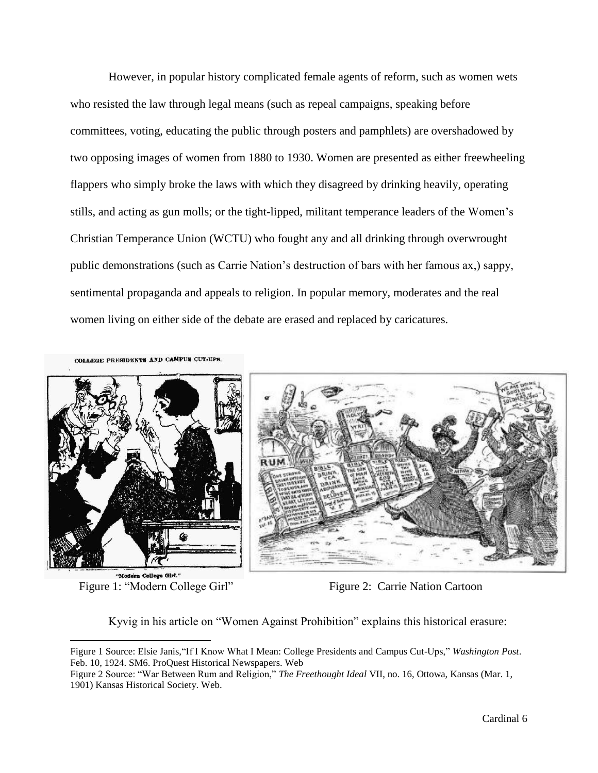However, in popular history complicated female agents of reform, such as women wets who resisted the law through legal means (such as repeal campaigns, speaking before committees, voting, educating the public through posters and pamphlets) are overshadowed by two opposing images of women from 1880 to 1930. Women are presented as either freewheeling flappers who simply broke the laws with which they disagreed by drinking heavily, operating stills, and acting as gun molls; or the tight-lipped, militant temperance leaders of the Women's Christian Temperance Union (WCTU) who fought any and all drinking through overwrought public demonstrations (such as Carrie Nation's destruction of bars with her famous ax,) sappy, sentimental propaganda and appeals to religion. In popular memory, moderates and the real women living on either side of the debate are erased and replaced by caricatures.

COLLEGE PRESIDENTS AND CAMPUS CUT-UPS



"Modern College Girl." Figure 1: "Modern College Girl"

 $\overline{a}$ 



Figure 2: Carrie Nation Cartoon

Kyvig in his article on "Women Against Prohibition" explains this historical erasure:

Figure 1 Source: Elsie Janis,"If I Know What I Mean: College Presidents and Campus Cut-Ups," *Washington Post*. Feb. 10, 1924. SM6. ProQuest Historical Newspapers. Web

Figure 2 Source: "War Between Rum and Religion," *The Freethought Ideal* VII, no. 16, Ottowa, Kansas (Mar. 1, 1901) Kansas Historical Society. Web.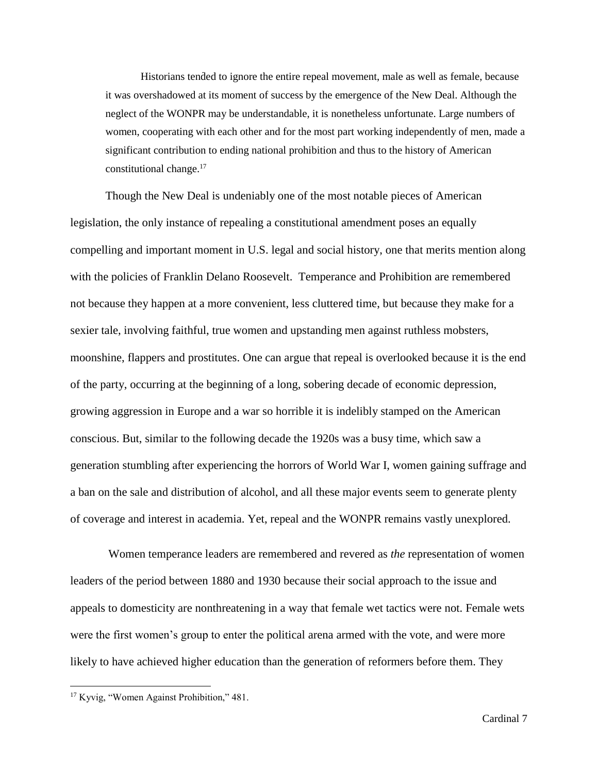Historians tended to ignore the entire repeal movement, male as well as female, because it was overshadowed at its moment of success by the emergence of the New Deal. Although the neglect of the WONPR may be understandable, it is nonetheless unfortunate. Large numbers of women, cooperating with each other and for the most part working independently of men, made a significant contribution to ending national prohibition and thus to the history of American constitutional change.<sup>17</sup>

Though the New Deal is undeniably one of the most notable pieces of American legislation, the only instance of repealing a constitutional amendment poses an equally compelling and important moment in U.S. legal and social history, one that merits mention along with the policies of Franklin Delano Roosevelt. Temperance and Prohibition are remembered not because they happen at a more convenient, less cluttered time, but because they make for a sexier tale, involving faithful, true women and upstanding men against ruthless mobsters, moonshine, flappers and prostitutes. One can argue that repeal is overlooked because it is the end of the party, occurring at the beginning of a long, sobering decade of economic depression, growing aggression in Europe and a war so horrible it is indelibly stamped on the American conscious. But, similar to the following decade the 1920s was a busy time, which saw a generation stumbling after experiencing the horrors of World War I, women gaining suffrage and a ban on the sale and distribution of alcohol, and all these major events seem to generate plenty of coverage and interest in academia. Yet, repeal and the WONPR remains vastly unexplored.

Women temperance leaders are remembered and revered as *the* representation of women leaders of the period between 1880 and 1930 because their social approach to the issue and appeals to domesticity are nonthreatening in a way that female wet tactics were not. Female wets were the first women's group to enter the political arena armed with the vote, and were more likely to have achieved higher education than the generation of reformers before them. They

<sup>&</sup>lt;sup>17</sup> Kyvig, "Women Against Prohibition," 481.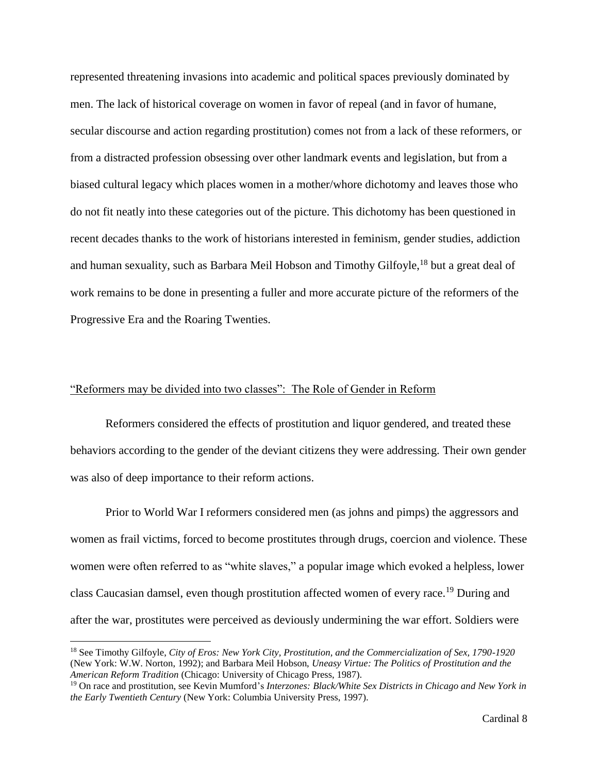represented threatening invasions into academic and political spaces previously dominated by men. The lack of historical coverage on women in favor of repeal (and in favor of humane, secular discourse and action regarding prostitution) comes not from a lack of these reformers, or from a distracted profession obsessing over other landmark events and legislation, but from a biased cultural legacy which places women in a mother/whore dichotomy and leaves those who do not fit neatly into these categories out of the picture. This dichotomy has been questioned in recent decades thanks to the work of historians interested in feminism, gender studies, addiction and human sexuality, such as Barbara Meil Hobson and Timothy Gilfoyle,<sup>18</sup> but a great deal of work remains to be done in presenting a fuller and more accurate picture of the reformers of the Progressive Era and the Roaring Twenties.

# "Reformers may be divided into two classes": The Role of Gender in Reform

Reformers considered the effects of prostitution and liquor gendered, and treated these behaviors according to the gender of the deviant citizens they were addressing. Their own gender was also of deep importance to their reform actions.

Prior to World War I reformers considered men (as johns and pimps) the aggressors and women as frail victims, forced to become prostitutes through drugs, coercion and violence. These women were often referred to as "white slaves," a popular image which evoked a helpless, lower class Caucasian damsel, even though prostitution affected women of every race.<sup>19</sup> During and after the war, prostitutes were perceived as deviously undermining the war effort. Soldiers were

 $\overline{a}$ 

<sup>18</sup> See Timothy Gilfoyle, *City of Eros: New York City, Prostitution, and the Commercialization of Sex, 1790-1920* (New York: W.W. Norton, 1992); and Barbara Meil Hobson, *Uneasy Virtue: The Politics of Prostitution and the American Reform Tradition* (Chicago: University of Chicago Press, 1987).

<sup>19</sup> On race and prostitution, see Kevin Mumford's *Interzones: Black/White Sex Districts in Chicago and New York in the Early Twentieth Century* (New York: Columbia University Press, 1997).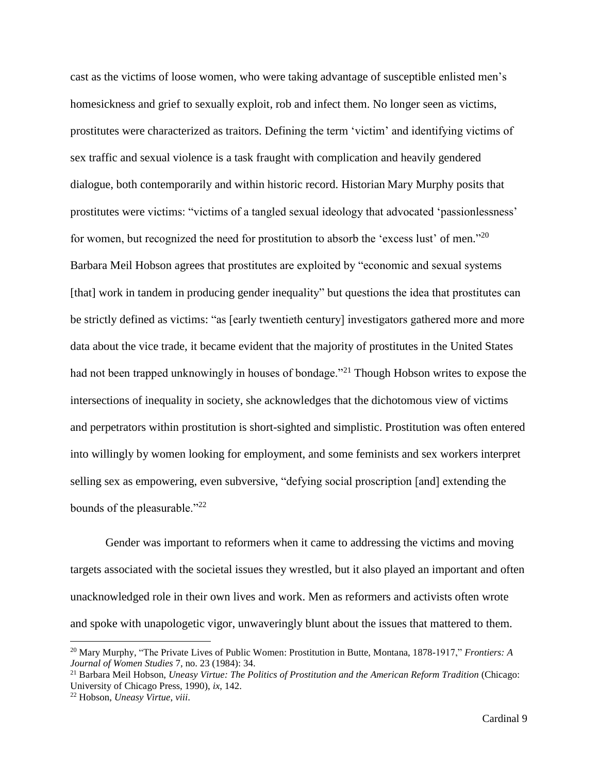cast as the victims of loose women, who were taking advantage of susceptible enlisted men's homesickness and grief to sexually exploit, rob and infect them. No longer seen as victims, prostitutes were characterized as traitors. Defining the term 'victim' and identifying victims of sex traffic and sexual violence is a task fraught with complication and heavily gendered dialogue, both contemporarily and within historic record. Historian Mary Murphy posits that prostitutes were victims: "victims of a tangled sexual ideology that advocated 'passionlessness' for women, but recognized the need for prostitution to absorb the 'excess lust' of men."<sup>20</sup> Barbara Meil Hobson agrees that prostitutes are exploited by "economic and sexual systems [that] work in tandem in producing gender inequality" but questions the idea that prostitutes can be strictly defined as victims: "as [early twentieth century] investigators gathered more and more data about the vice trade, it became evident that the majority of prostitutes in the United States had not been trapped unknowingly in houses of bondage.<sup>"21</sup> Though Hobson writes to expose the intersections of inequality in society, she acknowledges that the dichotomous view of victims and perpetrators within prostitution is short-sighted and simplistic. Prostitution was often entered into willingly by women looking for employment, and some feminists and sex workers interpret selling sex as empowering, even subversive, "defying social proscription [and] extending the bounds of the pleasurable."<sup>22</sup>

Gender was important to reformers when it came to addressing the victims and moving targets associated with the societal issues they wrestled, but it also played an important and often unacknowledged role in their own lives and work. Men as reformers and activists often wrote and spoke with unapologetic vigor, unwaveringly blunt about the issues that mattered to them.

 $\overline{a}$ 

<sup>20</sup> Mary Murphy, "The Private Lives of Public Women: Prostitution in Butte, Montana, 1878-1917," *Frontiers: A Journal of Women Studies* 7, no. 23 (1984): 34.

<sup>21</sup> Barbara Meil Hobson, *Uneasy Virtue: The Politics of Prostitution and the American Reform Tradition* (Chicago: University of Chicago Press, 1990), *ix*, 142.

<sup>22</sup> Hobson, *Uneasy Virtue*, *viii*.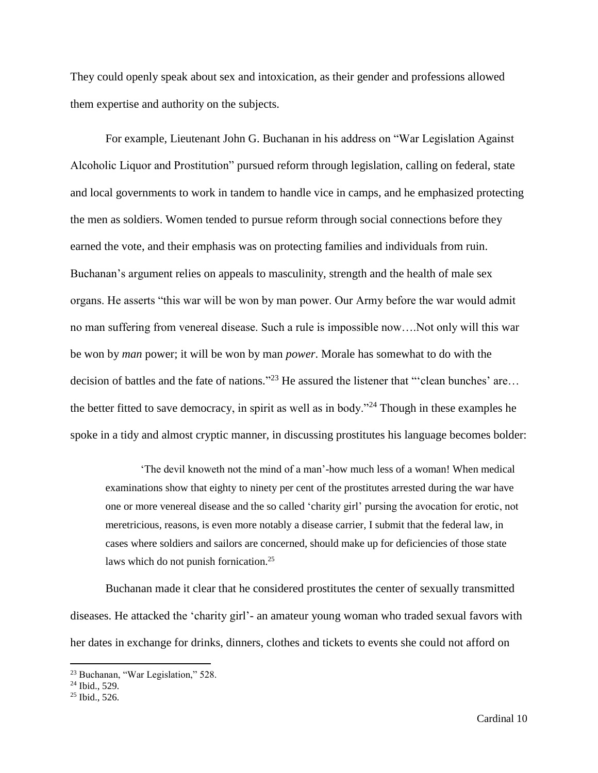They could openly speak about sex and intoxication, as their gender and professions allowed them expertise and authority on the subjects.

For example, Lieutenant John G. Buchanan in his address on "War Legislation Against Alcoholic Liquor and Prostitution" pursued reform through legislation, calling on federal, state and local governments to work in tandem to handle vice in camps, and he emphasized protecting the men as soldiers. Women tended to pursue reform through social connections before they earned the vote, and their emphasis was on protecting families and individuals from ruin. Buchanan's argument relies on appeals to masculinity, strength and the health of male sex organs. He asserts "this war will be won by man power. Our Army before the war would admit no man suffering from venereal disease. Such a rule is impossible now….Not only will this war be won by *man* power; it will be won by man *power*. Morale has somewhat to do with the decision of battles and the fate of nations."<sup>23</sup> He assured the listener that "'clean bunches' are... the better fitted to save democracy, in spirit as well as in body."<sup>24</sup> Though in these examples he spoke in a tidy and almost cryptic manner, in discussing prostitutes his language becomes bolder:

'The devil knoweth not the mind of a man'-how much less of a woman! When medical examinations show that eighty to ninety per cent of the prostitutes arrested during the war have one or more venereal disease and the so called 'charity girl' pursing the avocation for erotic, not meretricious, reasons, is even more notably a disease carrier, I submit that the federal law, in cases where soldiers and sailors are concerned, should make up for deficiencies of those state laws which do not punish fornication.<sup>25</sup>

Buchanan made it clear that he considered prostitutes the center of sexually transmitted diseases. He attacked the 'charity girl'- an amateur young woman who traded sexual favors with her dates in exchange for drinks, dinners, clothes and tickets to events she could not afford on

<sup>23</sup> Buchanan, "War Legislation," 528.

<sup>24</sup> Ibid., 529.

<sup>25</sup> Ibid., 526.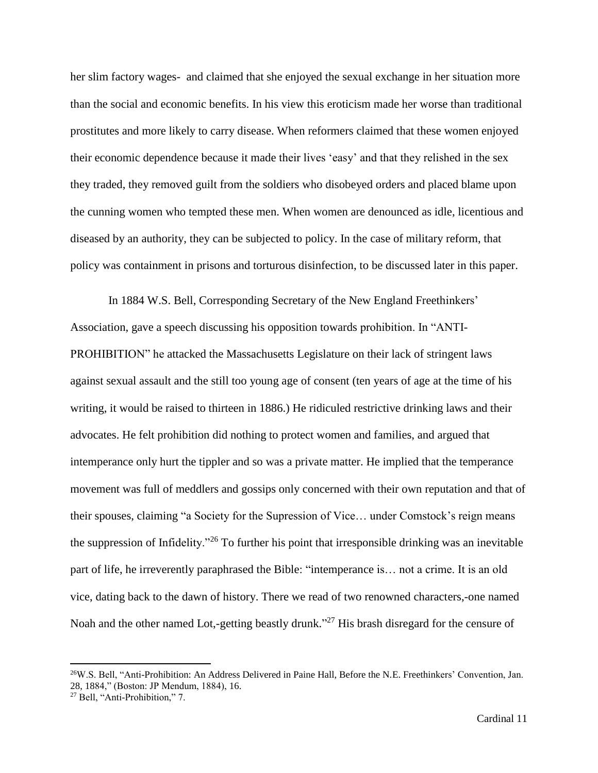her slim factory wages- and claimed that she enjoyed the sexual exchange in her situation more than the social and economic benefits. In his view this eroticism made her worse than traditional prostitutes and more likely to carry disease. When reformers claimed that these women enjoyed their economic dependence because it made their lives 'easy' and that they relished in the sex they traded, they removed guilt from the soldiers who disobeyed orders and placed blame upon the cunning women who tempted these men. When women are denounced as idle, licentious and diseased by an authority, they can be subjected to policy. In the case of military reform, that policy was containment in prisons and torturous disinfection, to be discussed later in this paper.

In 1884 W.S. Bell, Corresponding Secretary of the New England Freethinkers' Association, gave a speech discussing his opposition towards prohibition. In "ANTI-PROHIBITION" he attacked the Massachusetts Legislature on their lack of stringent laws against sexual assault and the still too young age of consent (ten years of age at the time of his writing, it would be raised to thirteen in 1886.) He ridiculed restrictive drinking laws and their advocates. He felt prohibition did nothing to protect women and families, and argued that intemperance only hurt the tippler and so was a private matter. He implied that the temperance movement was full of meddlers and gossips only concerned with their own reputation and that of their spouses, claiming "a Society for the Supression of Vice… under Comstock's reign means the suppression of Infidelity."<sup>26</sup> To further his point that irresponsible drinking was an inevitable part of life, he irreverently paraphrased the Bible: "intemperance is… not a crime. It is an old vice, dating back to the dawn of history. There we read of two renowned characters,-one named Noah and the other named Lot,-getting beastly drunk."<sup>27</sup> His brash disregard for the censure of

<sup>26</sup>W.S. Bell, "Anti-Prohibition: An Address Delivered in Paine Hall, Before the N.E. Freethinkers' Convention, Jan. 28, 1884," (Boston: JP Mendum, 1884), 16.

<sup>27</sup> Bell, "Anti-Prohibition," 7.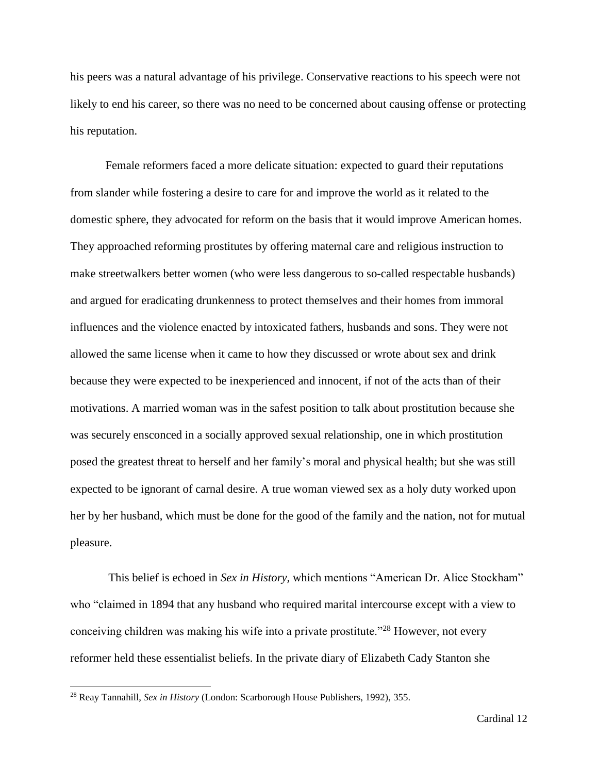his peers was a natural advantage of his privilege. Conservative reactions to his speech were not likely to end his career, so there was no need to be concerned about causing offense or protecting his reputation.

Female reformers faced a more delicate situation: expected to guard their reputations from slander while fostering a desire to care for and improve the world as it related to the domestic sphere, they advocated for reform on the basis that it would improve American homes. They approached reforming prostitutes by offering maternal care and religious instruction to make streetwalkers better women (who were less dangerous to so-called respectable husbands) and argued for eradicating drunkenness to protect themselves and their homes from immoral influences and the violence enacted by intoxicated fathers, husbands and sons. They were not allowed the same license when it came to how they discussed or wrote about sex and drink because they were expected to be inexperienced and innocent, if not of the acts than of their motivations. A married woman was in the safest position to talk about prostitution because she was securely ensconced in a socially approved sexual relationship, one in which prostitution posed the greatest threat to herself and her family's moral and physical health; but she was still expected to be ignorant of carnal desire. A true woman viewed sex as a holy duty worked upon her by her husband, which must be done for the good of the family and the nation, not for mutual pleasure.

This belief is echoed in *Sex in History,* which mentions "American Dr. Alice Stockham" who "claimed in 1894 that any husband who required marital intercourse except with a view to conceiving children was making his wife into a private prostitute."<sup>28</sup> However, not every reformer held these essentialist beliefs. In the private diary of Elizabeth Cady Stanton she

<sup>28</sup> Reay Tannahill, *Sex in History* (London: Scarborough House Publishers, 1992), 355.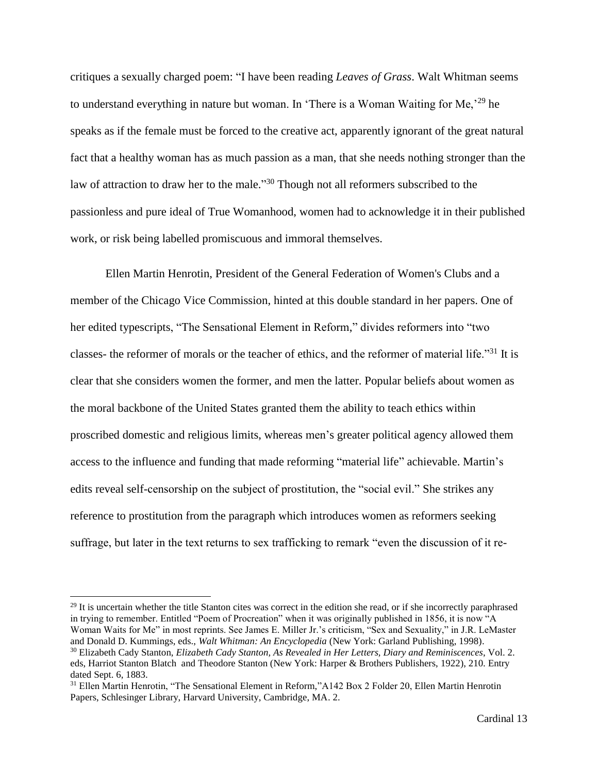critiques a sexually charged poem: "I have been reading *Leaves of Grass*. Walt Whitman seems to understand everything in nature but woman. In 'There is a Woman Waiting for Me,'<sup>29</sup> he speaks as if the female must be forced to the creative act, apparently ignorant of the great natural fact that a healthy woman has as much passion as a man, that she needs nothing stronger than the law of attraction to draw her to the male."<sup>30</sup> Though not all reformers subscribed to the passionless and pure ideal of True Womanhood, women had to acknowledge it in their published work, or risk being labelled promiscuous and immoral themselves.

Ellen Martin Henrotin, President of the General Federation of Women's Clubs and a member of the Chicago Vice Commission, hinted at this double standard in her papers. One of her edited typescripts, "The Sensational Element in Reform," divides reformers into "two classes- the reformer of morals or the teacher of ethics, and the reformer of material life."<sup>31</sup> It is clear that she considers women the former, and men the latter. Popular beliefs about women as the moral backbone of the United States granted them the ability to teach ethics within proscribed domestic and religious limits, whereas men's greater political agency allowed them access to the influence and funding that made reforming "material life" achievable. Martin's edits reveal self-censorship on the subject of prostitution, the "social evil." She strikes any reference to prostitution from the paragraph which introduces women as reformers seeking suffrage, but later in the text returns to sex trafficking to remark "even the discussion of it re-

<sup>&</sup>lt;sup>29</sup> It is uncertain whether the title Stanton cites was correct in the edition she read, or if she incorrectly paraphrased in trying to remember. Entitled "Poem of Procreation" when it was originally published in 1856, it is now "A Woman Waits for Me" in most reprints. See James E. Miller Jr.'s criticism, "Sex and Sexuality," in J.R. LeMaster and Donald D. Kummings, eds., *Walt Whitman: An Encyclopedia* (New York: Garland Publishing, 1998).

<sup>30</sup> Elizabeth Cady Stanton, *Elizabeth Cady Stanton, As Revealed in Her Letters, Diary and Reminiscences*, Vol. 2. eds, Harriot Stanton Blatch and Theodore Stanton (New York: Harper & Brothers Publishers, 1922), 210. Entry dated Sept. 6, 1883.

<sup>&</sup>lt;sup>31</sup> Ellen Martin Henrotin, "The Sensational Element in Reform,"A142 Box 2 Folder 20, Ellen Martin Henrotin Papers, Schlesinger Library, Harvard University, Cambridge, MA. 2.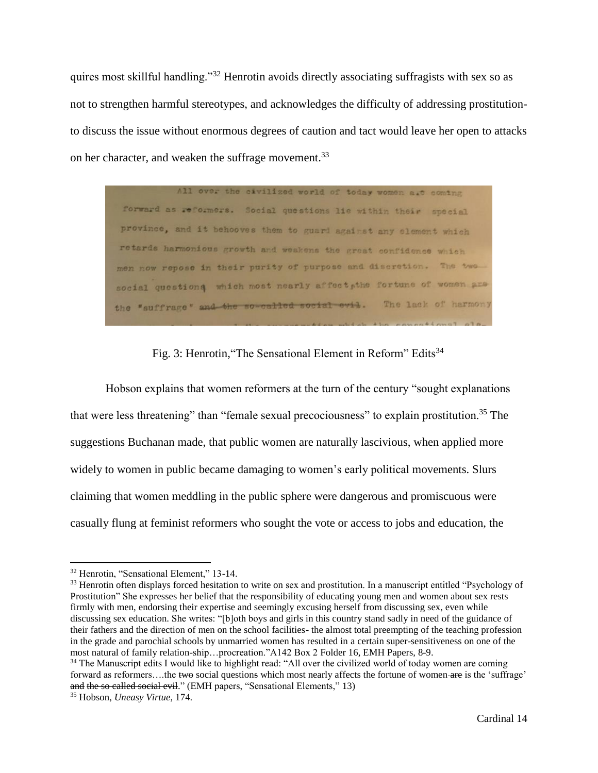quires most skillful handling."<sup>32</sup> Henrotin avoids directly associating suffragists with sex so as not to strengthen harmful stereotypes, and acknowledges the difficulty of addressing prostitutionto discuss the issue without enormous degrees of caution and tact would leave her open to attacks on her character, and weaken the suffrage movement.<sup>33</sup>

All over the civilized world of today women aut coming forward as reformers. Social questions lie within their special province, and it behooves them to guard against any element which retards harmonious growth and weakens the great confidence which men now repose in their purity of purpose and discretion. The two social questions which most nearly affect, the fortune of women are the "suffrage" and the so-called social evil. The lack of harmony

Fig. 3: Henrotin, "The Sensational Element in Reform" Edits<sup>34</sup>

Hobson explains that women reformers at the turn of the century "sought explanations that were less threatening" than "female sexual precociousness" to explain prostitution.<sup>35</sup> The suggestions Buchanan made, that public women are naturally lascivious, when applied more widely to women in public became damaging to women's early political movements. Slurs claiming that women meddling in the public sphere were dangerous and promiscuous were casually flung at feminist reformers who sought the vote or access to jobs and education, the

 $\overline{a}$ 

I

<sup>32</sup> Henrotin, "Sensational Element," 13-14.

<sup>&</sup>lt;sup>33</sup> Henrotin often displays forced hesitation to write on sex and prostitution. In a manuscript entitled "Psychology of Prostitution" She expresses her belief that the responsibility of educating young men and women about sex rests firmly with men, endorsing their expertise and seemingly excusing herself from discussing sex, even while discussing sex education. She writes: "[b]oth boys and girls in this country stand sadly in need of the guidance of their fathers and the direction of men on the school facilities- the almost total preempting of the teaching profession in the grade and parochial schools by unmarried women has resulted in a certain super-sensitiveness on one of the most natural of family relation-ship…procreation."A142 Box 2 Folder 16, EMH Papers, 8-9.

<sup>&</sup>lt;sup>34</sup> The Manuscript edits I would like to highlight read: "All over the civilized world of today women are coming forward as reformers....the two social questions which most nearly affects the fortune of women are is the 'suffrage' and the so called social evil." (EMH papers, "Sensational Elements," 13)

<sup>35</sup> Hobson, *Uneasy Virtue*, 174.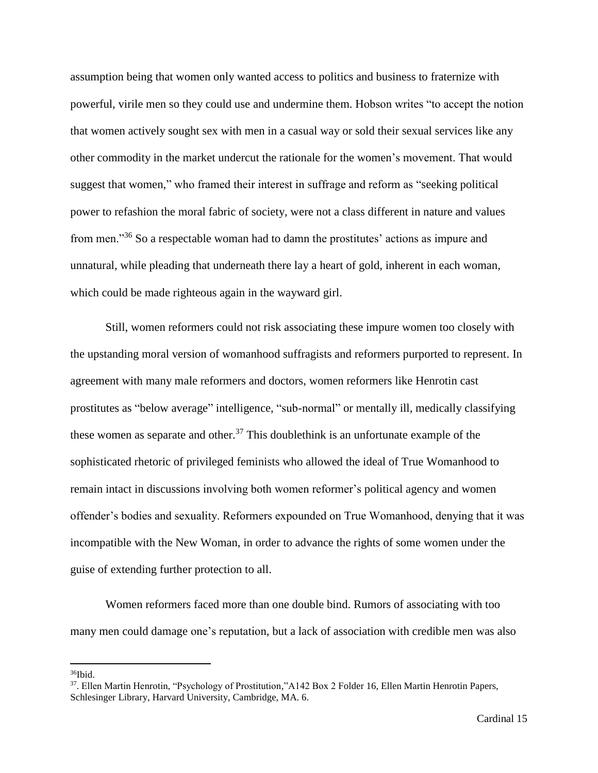assumption being that women only wanted access to politics and business to fraternize with powerful, virile men so they could use and undermine them. Hobson writes "to accept the notion that women actively sought sex with men in a casual way or sold their sexual services like any other commodity in the market undercut the rationale for the women's movement. That would suggest that women," who framed their interest in suffrage and reform as "seeking political power to refashion the moral fabric of society, were not a class different in nature and values from men."<sup>36</sup> So a respectable woman had to damn the prostitutes' actions as impure and unnatural, while pleading that underneath there lay a heart of gold, inherent in each woman, which could be made righteous again in the wayward girl.

Still, women reformers could not risk associating these impure women too closely with the upstanding moral version of womanhood suffragists and reformers purported to represent. In agreement with many male reformers and doctors, women reformers like Henrotin cast prostitutes as "below average" intelligence, "sub-normal" or mentally ill, medically classifying these women as separate and other.<sup>37</sup> This doublethink is an unfortunate example of the sophisticated rhetoric of privileged feminists who allowed the ideal of True Womanhood to remain intact in discussions involving both women reformer's political agency and women offender's bodies and sexuality. Reformers expounded on True Womanhood, denying that it was incompatible with the New Woman, in order to advance the rights of some women under the guise of extending further protection to all.

Women reformers faced more than one double bind. Rumors of associating with too many men could damage one's reputation, but a lack of association with credible men was also

<sup>36</sup>Ibid.

<sup>37</sup> . Ellen Martin Henrotin, "Psychology of Prostitution,"A142 Box 2 Folder 16, Ellen Martin Henrotin Papers, Schlesinger Library, Harvard University, Cambridge, MA. 6.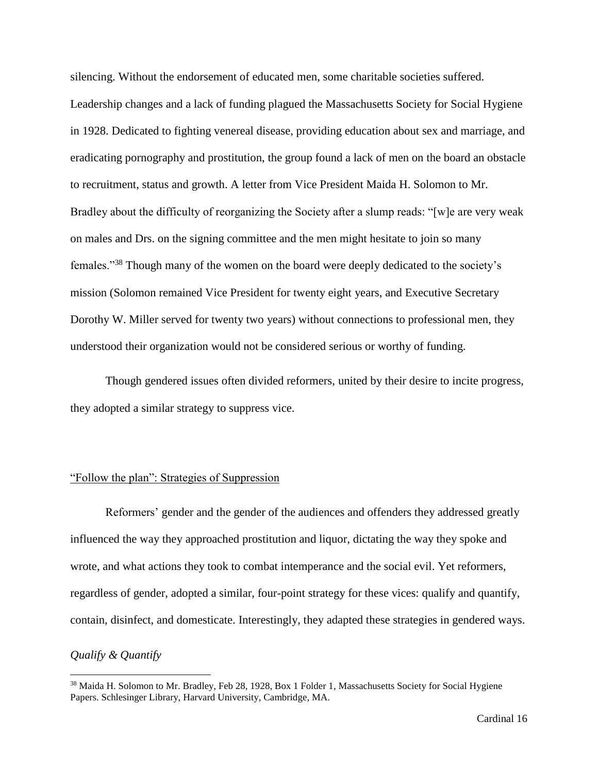silencing. Without the endorsement of educated men, some charitable societies suffered. Leadership changes and a lack of funding plagued the Massachusetts Society for Social Hygiene in 1928. Dedicated to fighting venereal disease, providing education about sex and marriage, and eradicating pornography and prostitution, the group found a lack of men on the board an obstacle to recruitment, status and growth. A letter from Vice President Maida H. Solomon to Mr. Bradley about the difficulty of reorganizing the Society after a slump reads: "[w]e are very weak on males and Drs. on the signing committee and the men might hesitate to join so many females."<sup>38</sup> Though many of the women on the board were deeply dedicated to the society's mission (Solomon remained Vice President for twenty eight years, and Executive Secretary Dorothy W. Miller served for twenty two years) without connections to professional men, they understood their organization would not be considered serious or worthy of funding.

Though gendered issues often divided reformers, united by their desire to incite progress, they adopted a similar strategy to suppress vice.

### "Follow the plan": Strategies of Suppression

Reformers' gender and the gender of the audiences and offenders they addressed greatly influenced the way they approached prostitution and liquor, dictating the way they spoke and wrote, and what actions they took to combat intemperance and the social evil. Yet reformers, regardless of gender, adopted a similar, four-point strategy for these vices: qualify and quantify, contain, disinfect, and domesticate. Interestingly, they adapted these strategies in gendered ways.

# *Qualify & Quantify*

<sup>&</sup>lt;sup>38</sup> Maida H. Solomon to Mr. Bradley, Feb 28, 1928, Box 1 Folder 1, Massachusetts Society for Social Hygiene Papers. Schlesinger Library, Harvard University, Cambridge, MA.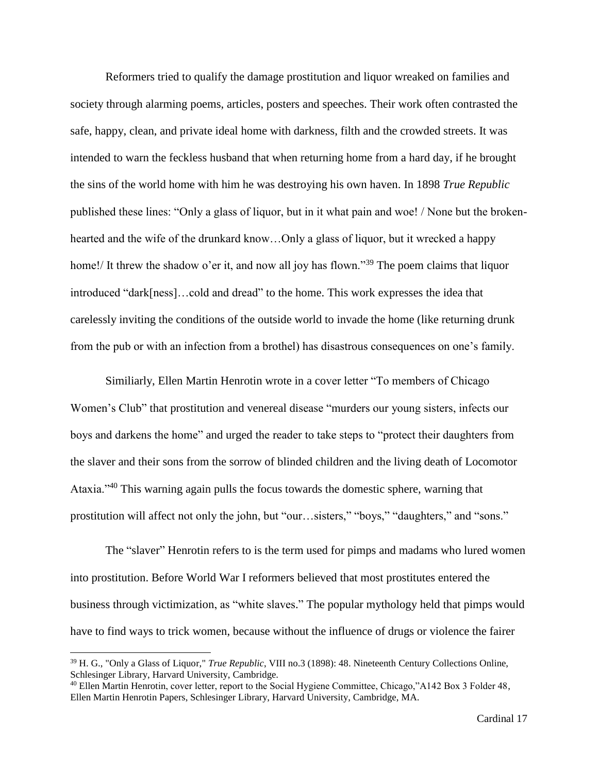Reformers tried to qualify the damage prostitution and liquor wreaked on families and society through alarming poems, articles, posters and speeches. Their work often contrasted the safe, happy, clean, and private ideal home with darkness, filth and the crowded streets. It was intended to warn the feckless husband that when returning home from a hard day, if he brought the sins of the world home with him he was destroying his own haven. In 1898 *True Republic* published these lines: "Only a glass of liquor, but in it what pain and woe! / None but the brokenhearted and the wife of the drunkard know...Only a glass of liquor, but it wrecked a happy home!/ It threw the shadow o'er it, and now all joy has flown."<sup>39</sup> The poem claims that liquor introduced "dark[ness]…cold and dread" to the home. This work expresses the idea that carelessly inviting the conditions of the outside world to invade the home (like returning drunk from the pub or with an infection from a brothel) has disastrous consequences on one's family.

Similiarly, Ellen Martin Henrotin wrote in a cover letter "To members of Chicago Women's Club" that prostitution and venereal disease "murders our young sisters, infects our boys and darkens the home" and urged the reader to take steps to "protect their daughters from the slaver and their sons from the sorrow of blinded children and the living death of Locomotor Ataxia."<sup>40</sup> This warning again pulls the focus towards the domestic sphere, warning that prostitution will affect not only the john, but "our…sisters," "boys," "daughters," and "sons."

The "slaver" Henrotin refers to is the term used for pimps and madams who lured women into prostitution. Before World War I reformers believed that most prostitutes entered the business through victimization, as "white slaves." The popular mythology held that pimps would have to find ways to trick women, because without the influence of drugs or violence the fairer

<sup>39</sup> H. G., "Only a Glass of Liquor," *True Republic*, VIII no.3 (1898): 48. Nineteenth Century Collections Online, Schlesinger Library, Harvard University, Cambridge.

<sup>40</sup> Ellen Martin Henrotin, cover letter, report to the Social Hygiene Committee, Chicago,"A142 Box 3 Folder 48, Ellen Martin Henrotin Papers, Schlesinger Library, Harvard University, Cambridge, MA.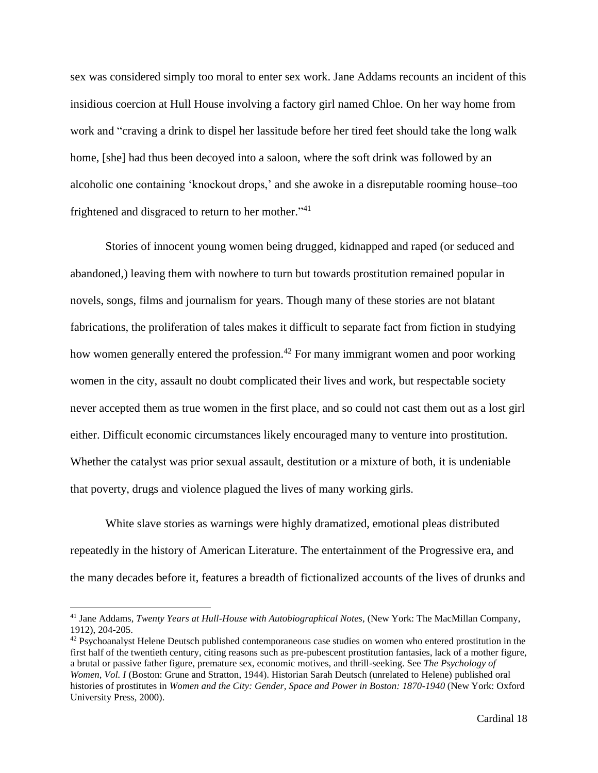sex was considered simply too moral to enter sex work. Jane Addams recounts an incident of this insidious coercion at Hull House involving a factory girl named Chloe. On her way home from work and "craving a drink to dispel her lassitude before her tired feet should take the long walk home, [she] had thus been decoyed into a saloon, where the soft drink was followed by an alcoholic one containing 'knockout drops,' and she awoke in a disreputable rooming house–too frightened and disgraced to return to her mother."<sup>41</sup>

Stories of innocent young women being drugged, kidnapped and raped (or seduced and abandoned,) leaving them with nowhere to turn but towards prostitution remained popular in novels, songs, films and journalism for years. Though many of these stories are not blatant fabrications, the proliferation of tales makes it difficult to separate fact from fiction in studying how women generally entered the profession.<sup>42</sup> For many immigrant women and poor working women in the city, assault no doubt complicated their lives and work, but respectable society never accepted them as true women in the first place, and so could not cast them out as a lost girl either. Difficult economic circumstances likely encouraged many to venture into prostitution. Whether the catalyst was prior sexual assault, destitution or a mixture of both, it is undeniable that poverty, drugs and violence plagued the lives of many working girls.

White slave stories as warnings were highly dramatized, emotional pleas distributed repeatedly in the history of American Literature. The entertainment of the Progressive era, and the many decades before it, features a breadth of fictionalized accounts of the lives of drunks and

 $\overline{a}$ 

<sup>&</sup>lt;sup>41</sup> Jane Addams, *Twenty Years at Hull-House with Autobiographical Notes*, (New York: The MacMillan Company, 1912), 204-205.

<sup>&</sup>lt;sup>42</sup> Psychoanalyst Helene Deutsch published contemporaneous case studies on women who entered prostitution in the first half of the twentieth century, citing reasons such as pre-pubescent prostitution fantasies, lack of a mother figure, a brutal or passive father figure, premature sex, economic motives, and thrill-seeking. See *The Psychology of Women, Vol. I* (Boston: Grune and Stratton, 1944). Historian Sarah Deutsch (unrelated to Helene) published oral histories of prostitutes in *Women and the City: Gender, Space and Power in Boston: 1870-1940* (New York: Oxford University Press, 2000).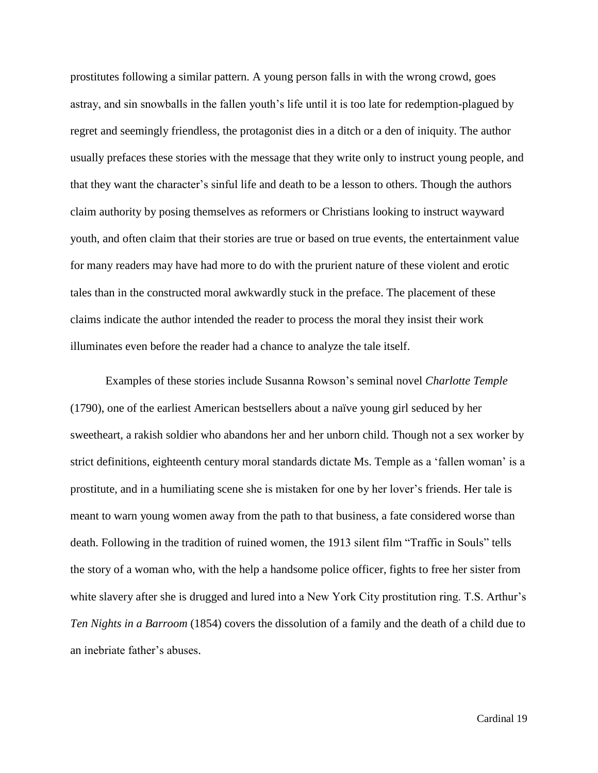prostitutes following a similar pattern. A young person falls in with the wrong crowd, goes astray, and sin snowballs in the fallen youth's life until it is too late for redemption-plagued by regret and seemingly friendless, the protagonist dies in a ditch or a den of iniquity. The author usually prefaces these stories with the message that they write only to instruct young people, and that they want the character's sinful life and death to be a lesson to others. Though the authors claim authority by posing themselves as reformers or Christians looking to instruct wayward youth, and often claim that their stories are true or based on true events, the entertainment value for many readers may have had more to do with the prurient nature of these violent and erotic tales than in the constructed moral awkwardly stuck in the preface. The placement of these claims indicate the author intended the reader to process the moral they insist their work illuminates even before the reader had a chance to analyze the tale itself.

Examples of these stories include Susanna Rowson's seminal novel *Charlotte Temple* (1790), one of the earliest American bestsellers about a naïve young girl seduced by her sweetheart, a rakish soldier who abandons her and her unborn child. Though not a sex worker by strict definitions, eighteenth century moral standards dictate Ms. Temple as a 'fallen woman' is a prostitute, and in a humiliating scene she is mistaken for one by her lover's friends. Her tale is meant to warn young women away from the path to that business, a fate considered worse than death. Following in the tradition of ruined women, the 1913 silent film "Traffic in Souls" tells the story of a woman who, with the help a handsome police officer, fights to free her sister from white slavery after she is drugged and lured into a New York City prostitution ring. T.S. Arthur's *Ten Nights in a Barroom* (1854) covers the dissolution of a family and the death of a child due to an inebriate father's abuses.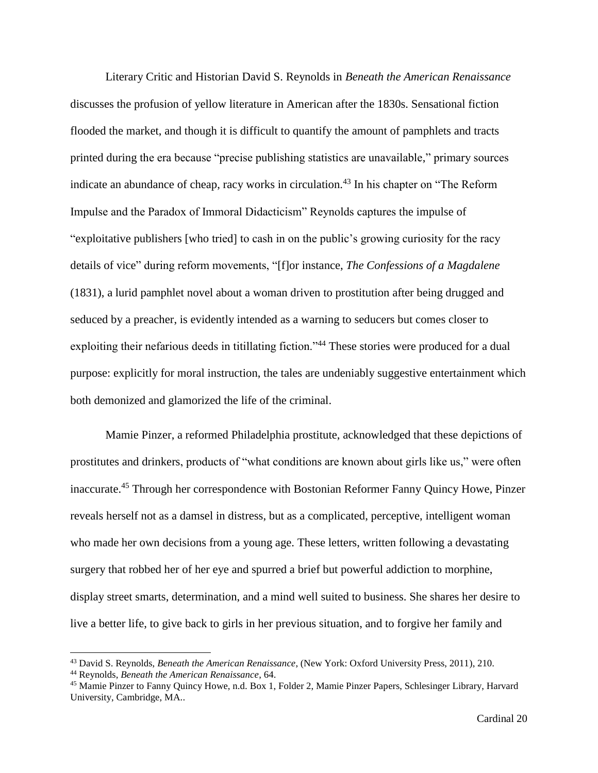Literary Critic and Historian David S. Reynolds in *Beneath the American Renaissance* discusses the profusion of yellow literature in American after the 1830s. Sensational fiction flooded the market, and though it is difficult to quantify the amount of pamphlets and tracts printed during the era because "precise publishing statistics are unavailable," primary sources indicate an abundance of cheap, racy works in circulation.<sup>43</sup> In his chapter on "The Reform" Impulse and the Paradox of Immoral Didacticism" Reynolds captures the impulse of "exploitative publishers [who tried] to cash in on the public's growing curiosity for the racy details of vice" during reform movements, "[f]or instance, *The Confessions of a Magdalene* (1831), a lurid pamphlet novel about a woman driven to prostitution after being drugged and seduced by a preacher, is evidently intended as a warning to seducers but comes closer to exploiting their nefarious deeds in titillating fiction."<sup>44</sup> These stories were produced for a dual purpose: explicitly for moral instruction, the tales are undeniably suggestive entertainment which both demonized and glamorized the life of the criminal.

Mamie Pinzer, a reformed Philadelphia prostitute, acknowledged that these depictions of prostitutes and drinkers, products of "what conditions are known about girls like us," were often inaccurate.<sup>45</sup> Through her correspondence with Bostonian Reformer Fanny Quincy Howe, Pinzer reveals herself not as a damsel in distress, but as a complicated, perceptive, intelligent woman who made her own decisions from a young age. These letters, written following a devastating surgery that robbed her of her eye and spurred a brief but powerful addiction to morphine, display street smarts, determination, and a mind well suited to business. She shares her desire to live a better life, to give back to girls in her previous situation, and to forgive her family and

<sup>43</sup> David S. Reynolds, *Beneath the American Renaissance*, (New York: Oxford University Press, 2011), 210.

<sup>44</sup> Reynolds, *Beneath the American Renaissance*, 64.

<sup>45</sup> Mamie Pinzer to Fanny Quincy Howe, n.d. Box 1, Folder 2, Mamie Pinzer Papers, Schlesinger Library, Harvard University, Cambridge, MA..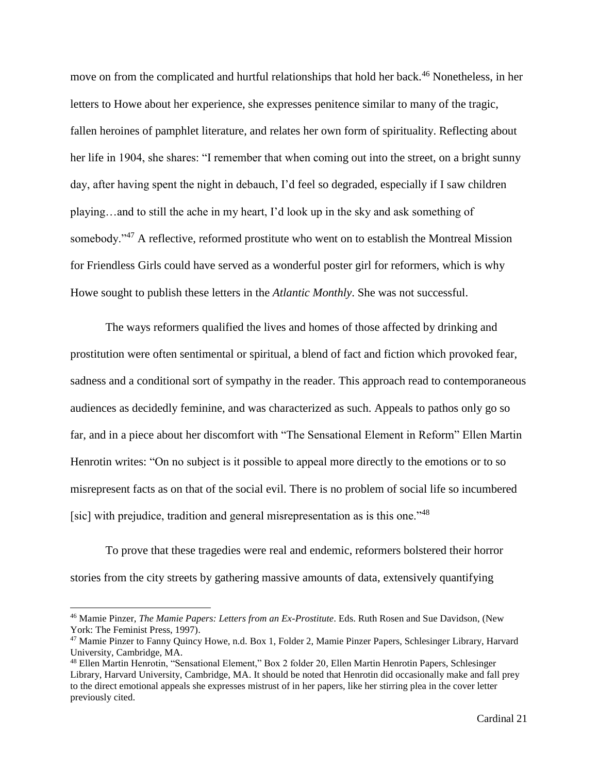move on from the complicated and hurtful relationships that hold her back.<sup>46</sup> Nonetheless, in her letters to Howe about her experience, she expresses penitence similar to many of the tragic, fallen heroines of pamphlet literature, and relates her own form of spirituality. Reflecting about her life in 1904, she shares: "I remember that when coming out into the street, on a bright sunny day, after having spent the night in debauch, I'd feel so degraded, especially if I saw children playing…and to still the ache in my heart, I'd look up in the sky and ask something of somebody."<sup>47</sup> A reflective, reformed prostitute who went on to establish the Montreal Mission for Friendless Girls could have served as a wonderful poster girl for reformers, which is why Howe sought to publish these letters in the *Atlantic Monthly*. She was not successful.

The ways reformers qualified the lives and homes of those affected by drinking and prostitution were often sentimental or spiritual, a blend of fact and fiction which provoked fear, sadness and a conditional sort of sympathy in the reader. This approach read to contemporaneous audiences as decidedly feminine, and was characterized as such. Appeals to pathos only go so far, and in a piece about her discomfort with "The Sensational Element in Reform" Ellen Martin Henrotin writes: "On no subject is it possible to appeal more directly to the emotions or to so misrepresent facts as on that of the social evil. There is no problem of social life so incumbered [sic] with prejudice, tradition and general misrepresentation as is this one."<sup>48</sup>

To prove that these tragedies were real and endemic, reformers bolstered their horror stories from the city streets by gathering massive amounts of data, extensively quantifying

 $\overline{a}$ 

<sup>46</sup> Mamie Pinzer, *The Mamie Papers: Letters from an Ex-Prostitute*. Eds. Ruth Rosen and Sue Davidson, (New York: The Feminist Press, 1997).

<sup>47</sup> Mamie Pinzer to Fanny Quincy Howe, n.d. Box 1, Folder 2, Mamie Pinzer Papers, Schlesinger Library, Harvard University, Cambridge, MA.

<sup>48</sup> Ellen Martin Henrotin, "Sensational Element," Box 2 folder 20, Ellen Martin Henrotin Papers, Schlesinger Library, Harvard University, Cambridge, MA. It should be noted that Henrotin did occasionally make and fall prey to the direct emotional appeals she expresses mistrust of in her papers, like her stirring plea in the cover letter previously cited.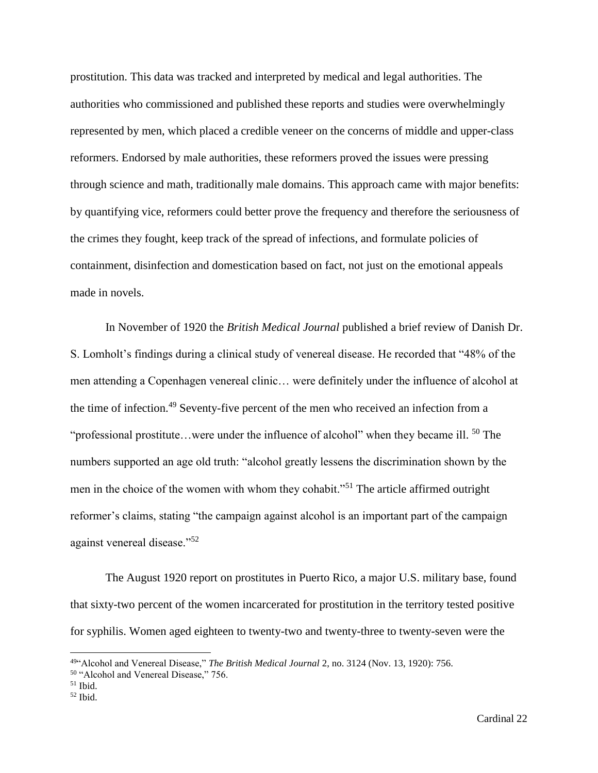prostitution. This data was tracked and interpreted by medical and legal authorities. The authorities who commissioned and published these reports and studies were overwhelmingly represented by men, which placed a credible veneer on the concerns of middle and upper-class reformers. Endorsed by male authorities, these reformers proved the issues were pressing through science and math, traditionally male domains. This approach came with major benefits: by quantifying vice, reformers could better prove the frequency and therefore the seriousness of the crimes they fought, keep track of the spread of infections, and formulate policies of containment, disinfection and domestication based on fact, not just on the emotional appeals made in novels.

In November of 1920 the *British Medical Journal* published a brief review of Danish Dr. S. Lomholt's findings during a clinical study of venereal disease. He recorded that "48% of the men attending a Copenhagen venereal clinic… were definitely under the influence of alcohol at the time of infection.<sup>49</sup> Seventy-five percent of the men who received an infection from a "professional prostitute...were under the influence of alcohol" when they became ill.  $50$  The numbers supported an age old truth: "alcohol greatly lessens the discrimination shown by the men in the choice of the women with whom they cohabit."<sup>51</sup> The article affirmed outright reformer's claims, stating "the campaign against alcohol is an important part of the campaign against venereal disease."<sup>52</sup>

The August 1920 report on prostitutes in Puerto Rico, a major U.S. military base, found that sixty-two percent of the women incarcerated for prostitution in the territory tested positive for syphilis. Women aged eighteen to twenty-two and twenty-three to twenty-seven were the

<sup>49</sup>"Alcohol and Venereal Disease," *The British Medical Journal* 2, no. 3124 (Nov. 13, 1920): 756.

<sup>50</sup> "Alcohol and Venereal Disease," 756.

 $51$  Ibid.

 $52$  Ibid.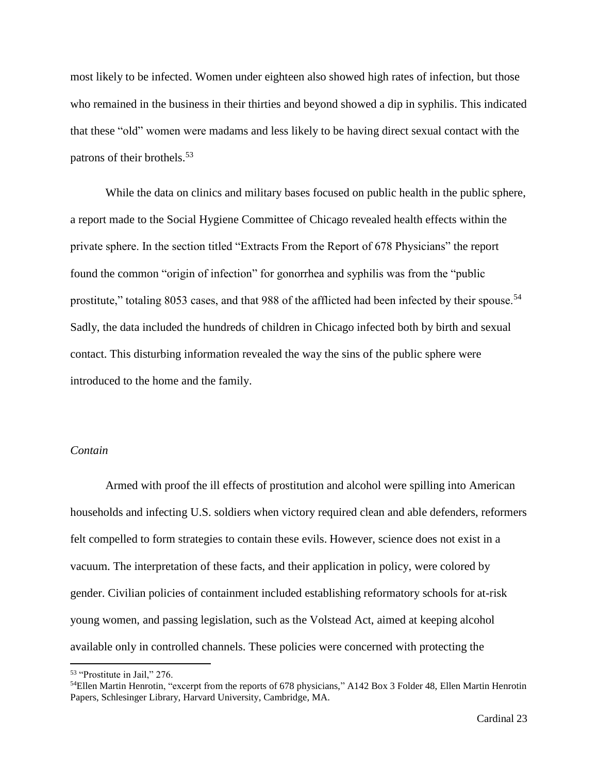most likely to be infected. Women under eighteen also showed high rates of infection, but those who remained in the business in their thirties and beyond showed a dip in syphilis. This indicated that these "old" women were madams and less likely to be having direct sexual contact with the patrons of their brothels. 53

While the data on clinics and military bases focused on public health in the public sphere, a report made to the Social Hygiene Committee of Chicago revealed health effects within the private sphere. In the section titled "Extracts From the Report of 678 Physicians" the report found the common "origin of infection" for gonorrhea and syphilis was from the "public prostitute," totaling 8053 cases, and that 988 of the afflicted had been infected by their spouse.<sup>54</sup> Sadly, the data included the hundreds of children in Chicago infected both by birth and sexual contact. This disturbing information revealed the way the sins of the public sphere were introduced to the home and the family.

# *Contain*

Armed with proof the ill effects of prostitution and alcohol were spilling into American households and infecting U.S. soldiers when victory required clean and able defenders, reformers felt compelled to form strategies to contain these evils. However, science does not exist in a vacuum. The interpretation of these facts, and their application in policy, were colored by gender. Civilian policies of containment included establishing reformatory schools for at-risk young women, and passing legislation, such as the Volstead Act, aimed at keeping alcohol available only in controlled channels. These policies were concerned with protecting the

<sup>53</sup> "Prostitute in Jail," 276.

<sup>&</sup>lt;sup>54</sup>Ellen Martin Henrotin, "excerpt from the reports of 678 physicians," A142 Box 3 Folder 48, Ellen Martin Henrotin Papers, Schlesinger Library, Harvard University, Cambridge, MA.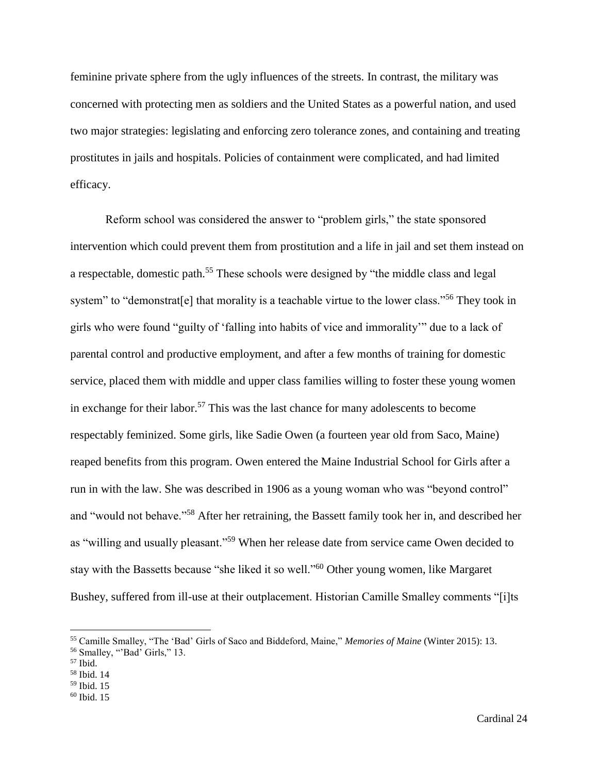feminine private sphere from the ugly influences of the streets. In contrast, the military was concerned with protecting men as soldiers and the United States as a powerful nation, and used two major strategies: legislating and enforcing zero tolerance zones, and containing and treating prostitutes in jails and hospitals. Policies of containment were complicated, and had limited efficacy.

Reform school was considered the answer to "problem girls," the state sponsored intervention which could prevent them from prostitution and a life in jail and set them instead on a respectable, domestic path.<sup>55</sup> These schools were designed by "the middle class and legal system" to "demonstrat<sup>[e]</sup> that morality is a teachable virtue to the lower class."<sup>56</sup> They took in girls who were found "guilty of 'falling into habits of vice and immorality'" due to a lack of parental control and productive employment, and after a few months of training for domestic service, placed them with middle and upper class families willing to foster these young women in exchange for their labor.<sup>57</sup> This was the last chance for many adolescents to become respectably feminized. Some girls, like Sadie Owen (a fourteen year old from Saco, Maine) reaped benefits from this program. Owen entered the Maine Industrial School for Girls after a run in with the law. She was described in 1906 as a young woman who was "beyond control" and "would not behave."<sup>58</sup> After her retraining, the Bassett family took her in, and described her as "willing and usually pleasant."<sup>59</sup> When her release date from service came Owen decided to stay with the Bassetts because "she liked it so well."<sup>60</sup> Other young women, like Margaret Bushey, suffered from ill-use at their outplacement. Historian Camille Smalley comments "[i]ts

l

<sup>55</sup> Camille Smalley, "The 'Bad' Girls of Saco and Biddeford, Maine," *Memories of Maine* (Winter 2015): 13.

<sup>56</sup> Smalley, "'Bad' Girls," 13.

<sup>57</sup> Ibid.

<sup>58</sup> Ibid. 14

<sup>59</sup> Ibid. 15

 $60$  Ibid. 15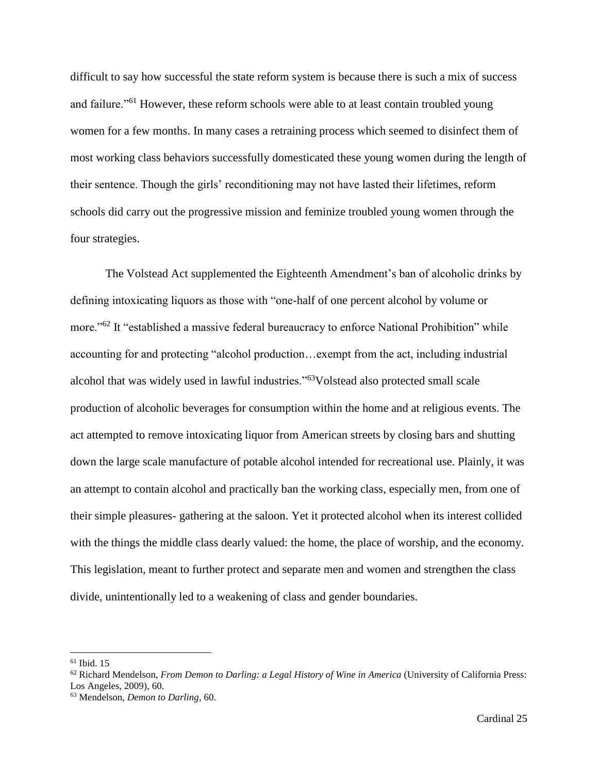difficult to say how successful the state reform system is because there is such a mix of success and failure."<sup>61</sup> However, these reform schools were able to at least contain troubled young women for a few months. In many cases a retraining process which seemed to disinfect them of most working class behaviors successfully domesticated these young women during the length of their sentence. Though the girls' reconditioning may not have lasted their lifetimes, reform schools did carry out the progressive mission and feminize troubled young women through the four strategies.

The Volstead Act supplemented the Eighteenth Amendment's ban of alcoholic drinks by defining intoxicating liquors as those with "one-half of one percent alcohol by volume or more."<sup>62</sup> It "established a massive federal bureaucracy to enforce National Prohibition" while accounting for and protecting "alcohol production…exempt from the act, including industrial alcohol that was widely used in lawful industries."<sup>63</sup>Volstead also protected small scale production of alcoholic beverages for consumption within the home and at religious events. The act attempted to remove intoxicating liquor from American streets by closing bars and shutting down the large scale manufacture of potable alcohol intended for recreational use. Plainly, it was an attempt to contain alcohol and practically ban the working class, especially men, from one of their simple pleasures- gathering at the saloon. Yet it protected alcohol when its interest collided with the things the middle class dearly valued: the home, the place of worship, and the economy. This legislation, meant to further protect and separate men and women and strengthen the class divide, unintentionally led to a weakening of class and gender boundaries.

 $61$  Ibid. 15

<sup>62</sup> Richard Mendelson, *From Demon to Darling: a Legal History of Wine in America* (University of California Press: Los Angeles, 2009), 60.

<sup>63</sup> Mendelson, *Demon to Darling*, 60.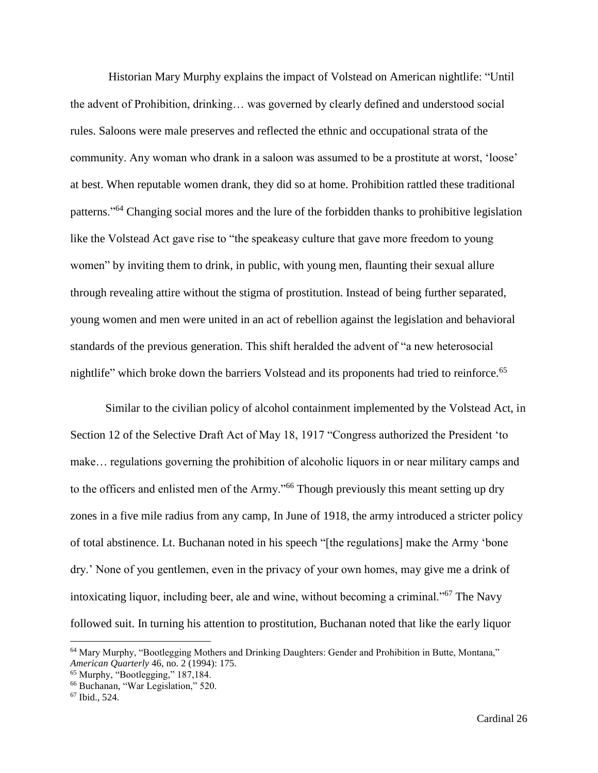Historian Mary Murphy explains the impact of Volstead on American nightlife: "Until the advent of Prohibition, drinking… was governed by clearly defined and understood social rules. Saloons were male preserves and reflected the ethnic and occupational strata of the community. Any woman who drank in a saloon was assumed to be a prostitute at worst, 'loose' at best. When reputable women drank, they did so at home. Prohibition rattled these traditional patterns."<sup>64</sup> Changing social mores and the lure of the forbidden thanks to prohibitive legislation like the Volstead Act gave rise to "the speakeasy culture that gave more freedom to young women" by inviting them to drink, in public, with young men, flaunting their sexual allure through revealing attire without the stigma of prostitution. Instead of being further separated, young women and men were united in an act of rebellion against the legislation and behavioral standards of the previous generation. This shift heralded the advent of "a new heterosocial nightlife" which broke down the barriers Volstead and its proponents had tried to reinforce.<sup>65</sup>

Similar to the civilian policy of alcohol containment implemented by the Volstead Act, in Section 12 of the Selective Draft Act of May 18, 1917 "Congress authorized the President 'to make… regulations governing the prohibition of alcoholic liquors in or near military camps and to the officers and enlisted men of the Army."<sup>66</sup> Though previously this meant setting up dry zones in a five mile radius from any camp, In June of 1918, the army introduced a stricter policy of total abstinence. Lt. Buchanan noted in his speech "[the regulations] make the Army 'bone dry.' None of you gentlemen, even in the privacy of your own homes, may give me a drink of intoxicating liquor, including beer, ale and wine, without becoming a criminal."<sup>67</sup> The Navy followed suit. In turning his attention to prostitution, Buchanan noted that like the early liquor

 $\overline{a}$ 

<sup>64</sup> Mary Murphy, "Bootlegging Mothers and Drinking Daughters: Gender and Prohibition in Butte, Montana," *American Quarterly* 46, no. 2 (1994): 175.

<sup>65</sup> Murphy, "Bootlegging," 187,184.

<sup>66</sup> Buchanan, "War Legislation," 520.

<sup>67</sup> Ibid., 524.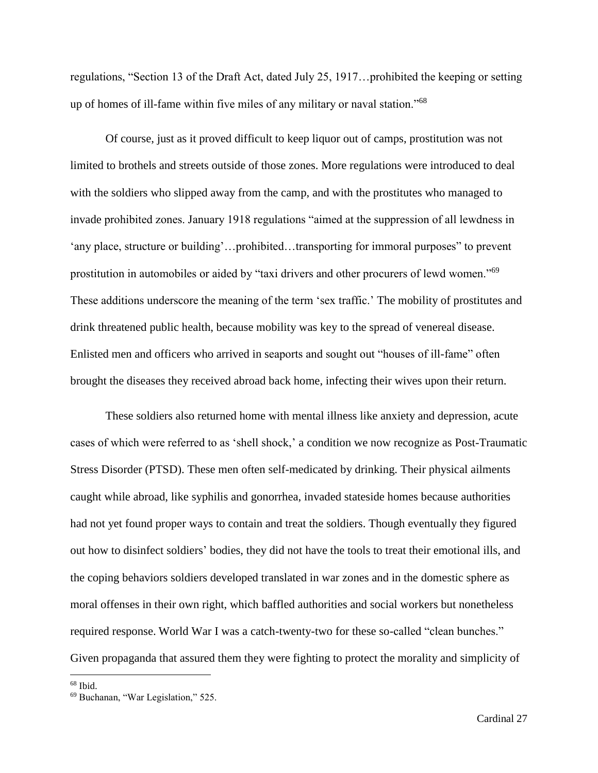regulations, "Section 13 of the Draft Act, dated July 25, 1917…prohibited the keeping or setting up of homes of ill-fame within five miles of any military or naval station."<sup>68</sup>

Of course, just as it proved difficult to keep liquor out of camps, prostitution was not limited to brothels and streets outside of those zones. More regulations were introduced to deal with the soldiers who slipped away from the camp, and with the prostitutes who managed to invade prohibited zones. January 1918 regulations "aimed at the suppression of all lewdness in 'any place, structure or building'…prohibited…transporting for immoral purposes" to prevent prostitution in automobiles or aided by "taxi drivers and other procurers of lewd women."<sup>69</sup> These additions underscore the meaning of the term 'sex traffic.' The mobility of prostitutes and drink threatened public health, because mobility was key to the spread of venereal disease. Enlisted men and officers who arrived in seaports and sought out "houses of ill-fame" often brought the diseases they received abroad back home, infecting their wives upon their return.

These soldiers also returned home with mental illness like anxiety and depression, acute cases of which were referred to as 'shell shock,' a condition we now recognize as Post-Traumatic Stress Disorder (PTSD). These men often self-medicated by drinking. Their physical ailments caught while abroad, like syphilis and gonorrhea, invaded stateside homes because authorities had not yet found proper ways to contain and treat the soldiers. Though eventually they figured out how to disinfect soldiers' bodies, they did not have the tools to treat their emotional ills, and the coping behaviors soldiers developed translated in war zones and in the domestic sphere as moral offenses in their own right, which baffled authorities and social workers but nonetheless required response. World War I was a catch-twenty-two for these so-called "clean bunches." Given propaganda that assured them they were fighting to protect the morality and simplicity of

 $68$  Ibid.

<sup>69</sup> Buchanan, "War Legislation," 525.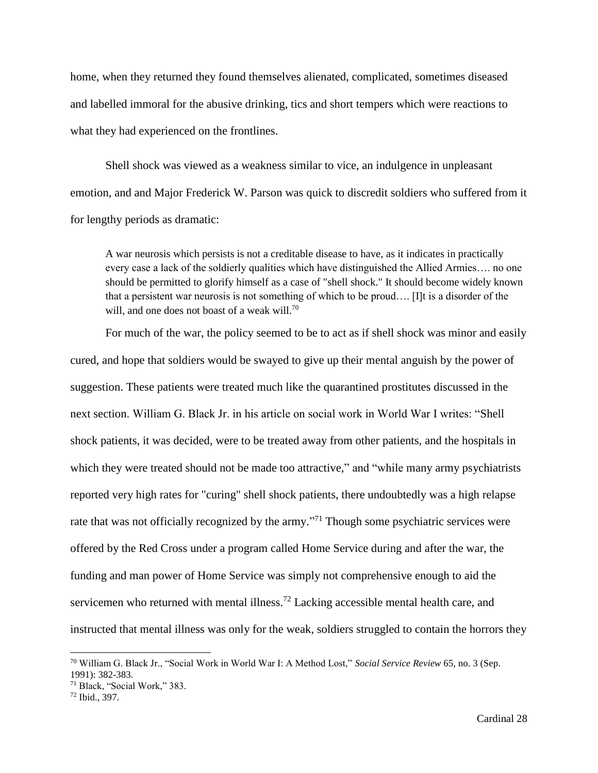home, when they returned they found themselves alienated, complicated, sometimes diseased and labelled immoral for the abusive drinking, tics and short tempers which were reactions to what they had experienced on the frontlines.

Shell shock was viewed as a weakness similar to vice, an indulgence in unpleasant emotion, and and Major Frederick W. Parson was quick to discredit soldiers who suffered from it for lengthy periods as dramatic:

A war neurosis which persists is not a creditable disease to have, as it indicates in practically every case a lack of the soldierly qualities which have distinguished the Allied Armies…. no one should be permitted to glorify himself as a case of "shell shock." It should become widely known that a persistent war neurosis is not something of which to be proud…. [I]t is a disorder of the will, and one does not boast of a weak will.<sup>70</sup>

 For much of the war, the policy seemed to be to act as if shell shock was minor and easily cured, and hope that soldiers would be swayed to give up their mental anguish by the power of suggestion. These patients were treated much like the quarantined prostitutes discussed in the next section. William G. Black Jr. in his article on social work in World War I writes: "Shell shock patients, it was decided, were to be treated away from other patients, and the hospitals in which they were treated should not be made too attractive," and "while many army psychiatrists" reported very high rates for "curing" shell shock patients, there undoubtedly was a high relapse rate that was not officially recognized by the army."<sup>71</sup> Though some psychiatric services were offered by the Red Cross under a program called Home Service during and after the war, the funding and man power of Home Service was simply not comprehensive enough to aid the servicemen who returned with mental illness.<sup>72</sup> Lacking accessible mental health care, and instructed that mental illness was only for the weak, soldiers struggled to contain the horrors they

<sup>70</sup> William G. Black Jr., "Social Work in World War I: A Method Lost," *Social Service Review* 65, no. 3 (Sep. 1991): 382-383.

<sup>71</sup> Black, "Social Work," 383.

<sup>72</sup> Ibid., 397.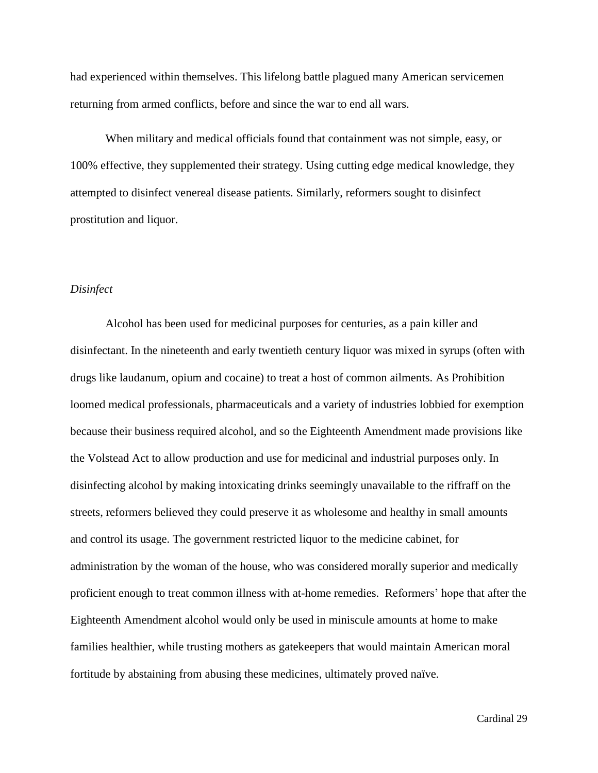had experienced within themselves. This lifelong battle plagued many American servicemen returning from armed conflicts, before and since the war to end all wars.

When military and medical officials found that containment was not simple, easy, or 100% effective, they supplemented their strategy. Using cutting edge medical knowledge, they attempted to disinfect venereal disease patients. Similarly, reformers sought to disinfect prostitution and liquor.

### *Disinfect*

Alcohol has been used for medicinal purposes for centuries, as a pain killer and disinfectant. In the nineteenth and early twentieth century liquor was mixed in syrups (often with drugs like laudanum, opium and cocaine) to treat a host of common ailments. As Prohibition loomed medical professionals, pharmaceuticals and a variety of industries lobbied for exemption because their business required alcohol, and so the Eighteenth Amendment made provisions like the Volstead Act to allow production and use for medicinal and industrial purposes only. In disinfecting alcohol by making intoxicating drinks seemingly unavailable to the riffraff on the streets, reformers believed they could preserve it as wholesome and healthy in small amounts and control its usage. The government restricted liquor to the medicine cabinet, for administration by the woman of the house, who was considered morally superior and medically proficient enough to treat common illness with at-home remedies. Reformers' hope that after the Eighteenth Amendment alcohol would only be used in miniscule amounts at home to make families healthier, while trusting mothers as gatekeepers that would maintain American moral fortitude by abstaining from abusing these medicines, ultimately proved naïve.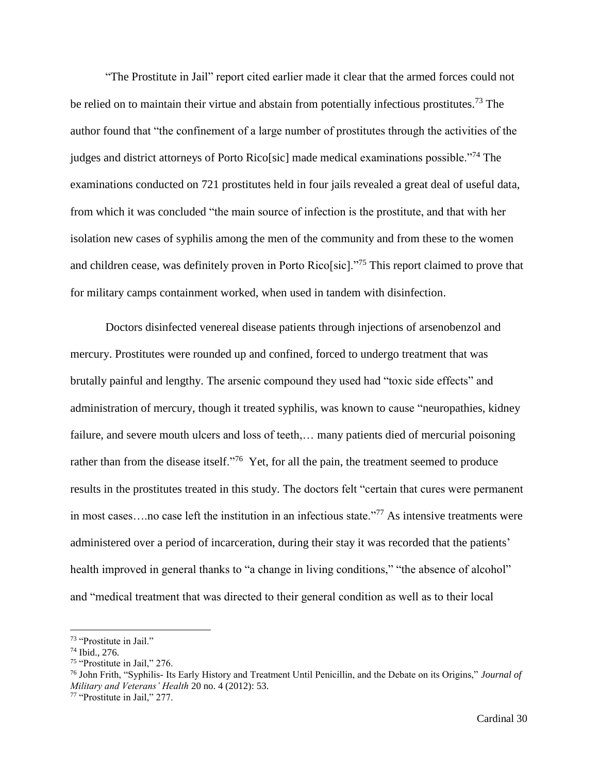"The Prostitute in Jail" report cited earlier made it clear that the armed forces could not be relied on to maintain their virtue and abstain from potentially infectious prostitutes.<sup>73</sup> The author found that "the confinement of a large number of prostitutes through the activities of the judges and district attorneys of Porto Rico[sic] made medical examinations possible."<sup>74</sup> The examinations conducted on 721 prostitutes held in four jails revealed a great deal of useful data, from which it was concluded "the main source of infection is the prostitute, and that with her isolation new cases of syphilis among the men of the community and from these to the women and children cease, was definitely proven in Porto Rico[sic]."<sup>75</sup> This report claimed to prove that for military camps containment worked, when used in tandem with disinfection.

Doctors disinfected venereal disease patients through injections of arsenobenzol and mercury. Prostitutes were rounded up and confined, forced to undergo treatment that was brutally painful and lengthy. The arsenic compound they used had "toxic side effects" and administration of mercury, though it treated syphilis, was known to cause "neuropathies, kidney failure, and severe mouth ulcers and loss of teeth,... many patients died of mercurial poisoning rather than from the disease itself."<sup>76</sup> Yet, for all the pain, the treatment seemed to produce results in the prostitutes treated in this study. The doctors felt "certain that cures were permanent in most cases....no case left the institution in an infectious state."<sup>77</sup> As intensive treatments were administered over a period of incarceration, during their stay it was recorded that the patients' health improved in general thanks to "a change in living conditions," "the absence of alcohol" and "medical treatment that was directed to their general condition as well as to their local

l

<sup>73</sup> "Prostitute in Jail."

<sup>74</sup> Ibid., 276.

<sup>75</sup> "Prostitute in Jail," 276.

<sup>76</sup> John Frith, "Syphilis- Its Early History and Treatment Until Penicillin, and the Debate on its Origins," *Journal of Military and Veterans' Health* 20 no. 4 (2012): 53.

<sup>77</sup> "Prostitute in Jail," 277.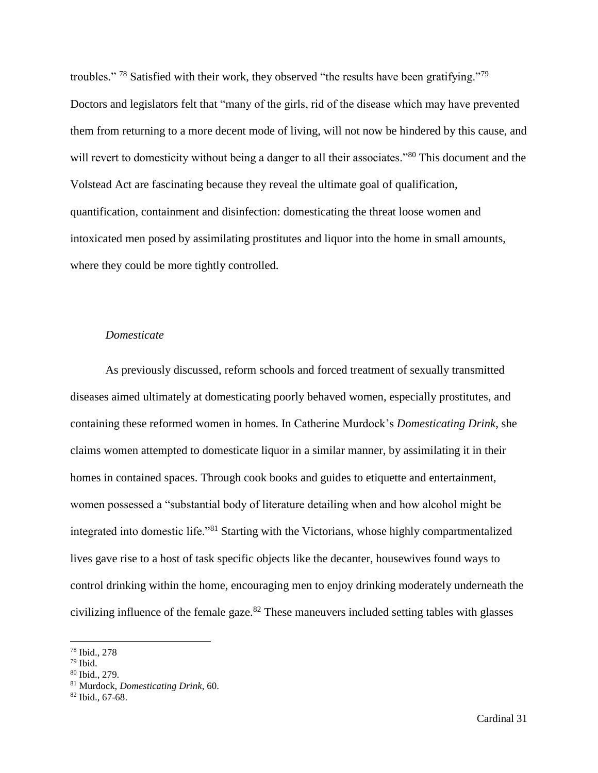troubles." <sup>78</sup> Satisfied with their work, they observed "the results have been gratifying."<sup>79</sup> Doctors and legislators felt that "many of the girls, rid of the disease which may have prevented them from returning to a more decent mode of living, will not now be hindered by this cause, and will revert to domesticity without being a danger to all their associates."<sup>80</sup> This document and the Volstead Act are fascinating because they reveal the ultimate goal of qualification, quantification, containment and disinfection: domesticating the threat loose women and intoxicated men posed by assimilating prostitutes and liquor into the home in small amounts, where they could be more tightly controlled.

## *Domesticate*

As previously discussed, reform schools and forced treatment of sexually transmitted diseases aimed ultimately at domesticating poorly behaved women, especially prostitutes, and containing these reformed women in homes. In Catherine Murdock's *Domesticating Drink*, she claims women attempted to domesticate liquor in a similar manner, by assimilating it in their homes in contained spaces. Through cook books and guides to etiquette and entertainment, women possessed a "substantial body of literature detailing when and how alcohol might be integrated into domestic life."<sup>81</sup> Starting with the Victorians, whose highly compartmentalized lives gave rise to a host of task specific objects like the decanter, housewives found ways to control drinking within the home, encouraging men to enjoy drinking moderately underneath the civilizing influence of the female gaze.<sup>82</sup> These maneuvers included setting tables with glasses

 $\overline{a}$ 

<sup>78</sup> Ibid., 278

 $79$  Ibid.

<sup>80</sup> Ibid., 279.

<sup>81</sup> Murdock, *Domesticating Drink*, 60.

 $82$  Ibid., 67-68.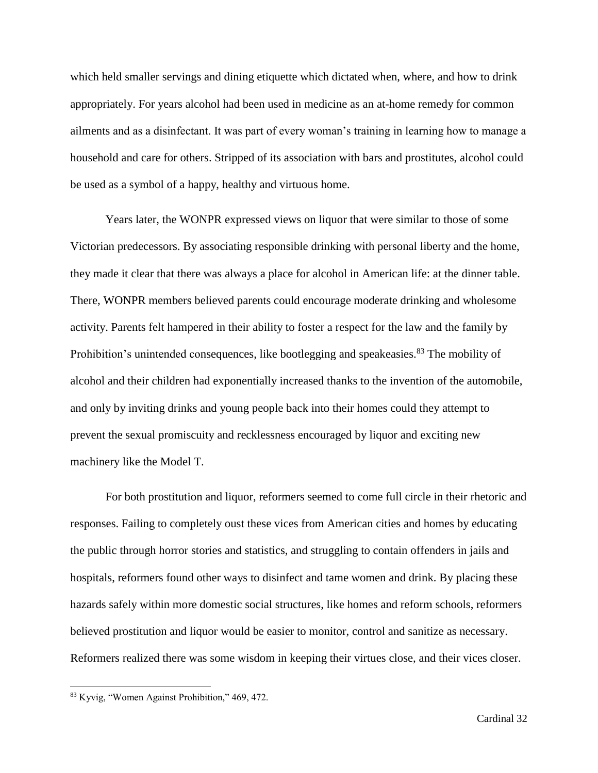which held smaller servings and dining etiquette which dictated when, where, and how to drink appropriately. For years alcohol had been used in medicine as an at-home remedy for common ailments and as a disinfectant. It was part of every woman's training in learning how to manage a household and care for others. Stripped of its association with bars and prostitutes, alcohol could be used as a symbol of a happy, healthy and virtuous home.

Years later, the WONPR expressed views on liquor that were similar to those of some Victorian predecessors. By associating responsible drinking with personal liberty and the home, they made it clear that there was always a place for alcohol in American life: at the dinner table. There, WONPR members believed parents could encourage moderate drinking and wholesome activity. Parents felt hampered in their ability to foster a respect for the law and the family by Prohibition's unintended consequences, like bootlegging and speakeasies.<sup>83</sup> The mobility of alcohol and their children had exponentially increased thanks to the invention of the automobile, and only by inviting drinks and young people back into their homes could they attempt to prevent the sexual promiscuity and recklessness encouraged by liquor and exciting new machinery like the Model T.

For both prostitution and liquor, reformers seemed to come full circle in their rhetoric and responses. Failing to completely oust these vices from American cities and homes by educating the public through horror stories and statistics, and struggling to contain offenders in jails and hospitals, reformers found other ways to disinfect and tame women and drink. By placing these hazards safely within more domestic social structures, like homes and reform schools, reformers believed prostitution and liquor would be easier to monitor, control and sanitize as necessary. Reformers realized there was some wisdom in keeping their virtues close, and their vices closer.

<sup>83</sup> Kyvig, "Women Against Prohibition," 469, 472.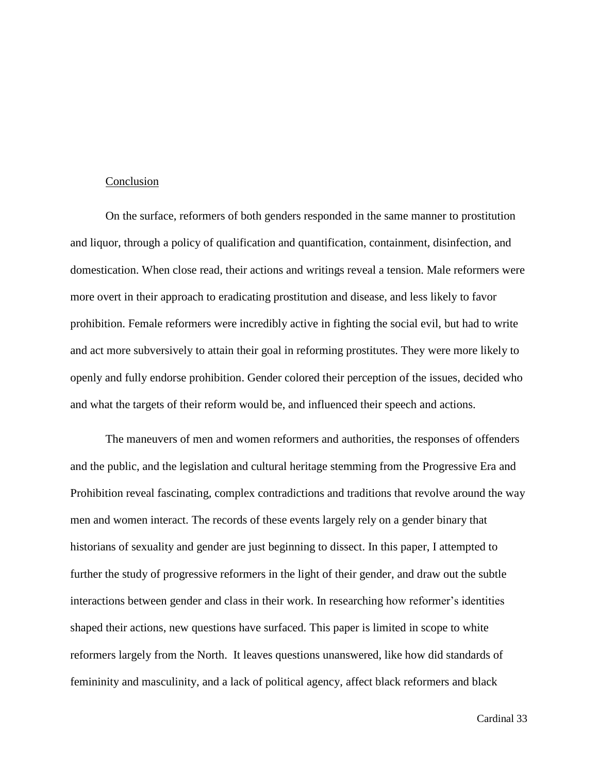#### Conclusion

On the surface, reformers of both genders responded in the same manner to prostitution and liquor, through a policy of qualification and quantification, containment, disinfection, and domestication. When close read, their actions and writings reveal a tension. Male reformers were more overt in their approach to eradicating prostitution and disease, and less likely to favor prohibition. Female reformers were incredibly active in fighting the social evil, but had to write and act more subversively to attain their goal in reforming prostitutes. They were more likely to openly and fully endorse prohibition. Gender colored their perception of the issues, decided who and what the targets of their reform would be, and influenced their speech and actions.

The maneuvers of men and women reformers and authorities, the responses of offenders and the public, and the legislation and cultural heritage stemming from the Progressive Era and Prohibition reveal fascinating, complex contradictions and traditions that revolve around the way men and women interact. The records of these events largely rely on a gender binary that historians of sexuality and gender are just beginning to dissect. In this paper, I attempted to further the study of progressive reformers in the light of their gender, and draw out the subtle interactions between gender and class in their work. In researching how reformer's identities shaped their actions, new questions have surfaced. This paper is limited in scope to white reformers largely from the North. It leaves questions unanswered, like how did standards of femininity and masculinity, and a lack of political agency, affect black reformers and black

Cardinal 33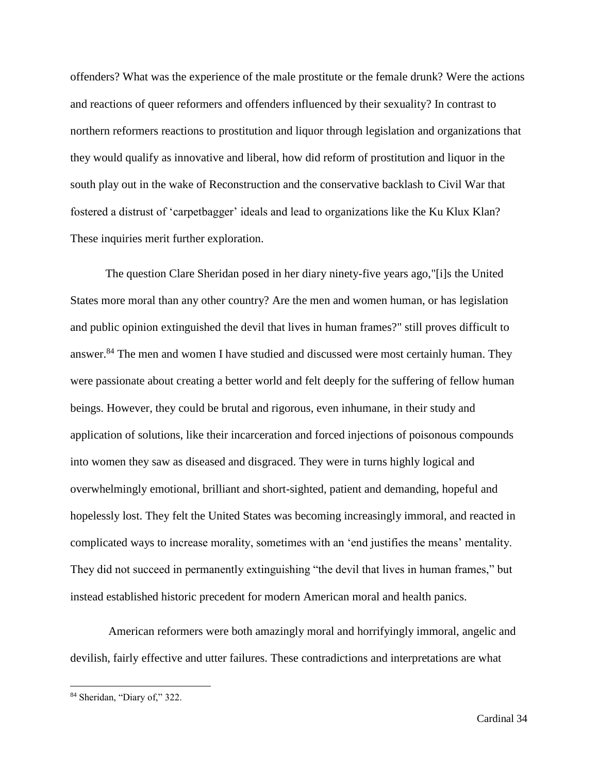offenders? What was the experience of the male prostitute or the female drunk? Were the actions and reactions of queer reformers and offenders influenced by their sexuality? In contrast to northern reformers reactions to prostitution and liquor through legislation and organizations that they would qualify as innovative and liberal, how did reform of prostitution and liquor in the south play out in the wake of Reconstruction and the conservative backlash to Civil War that fostered a distrust of 'carpetbagger' ideals and lead to organizations like the Ku Klux Klan? These inquiries merit further exploration.

The question Clare Sheridan posed in her diary ninety-five years ago,"[i]s the United States more moral than any other country? Are the men and women human, or has legislation and public opinion extinguished the devil that lives in human frames?" still proves difficult to answer.<sup>84</sup> The men and women I have studied and discussed were most certainly human. They were passionate about creating a better world and felt deeply for the suffering of fellow human beings. However, they could be brutal and rigorous, even inhumane, in their study and application of solutions, like their incarceration and forced injections of poisonous compounds into women they saw as diseased and disgraced. They were in turns highly logical and overwhelmingly emotional, brilliant and short-sighted, patient and demanding, hopeful and hopelessly lost. They felt the United States was becoming increasingly immoral, and reacted in complicated ways to increase morality, sometimes with an 'end justifies the means' mentality. They did not succeed in permanently extinguishing "the devil that lives in human frames," but instead established historic precedent for modern American moral and health panics.

American reformers were both amazingly moral and horrifyingly immoral, angelic and devilish, fairly effective and utter failures. These contradictions and interpretations are what

<sup>84</sup> Sheridan, "Diary of," 322.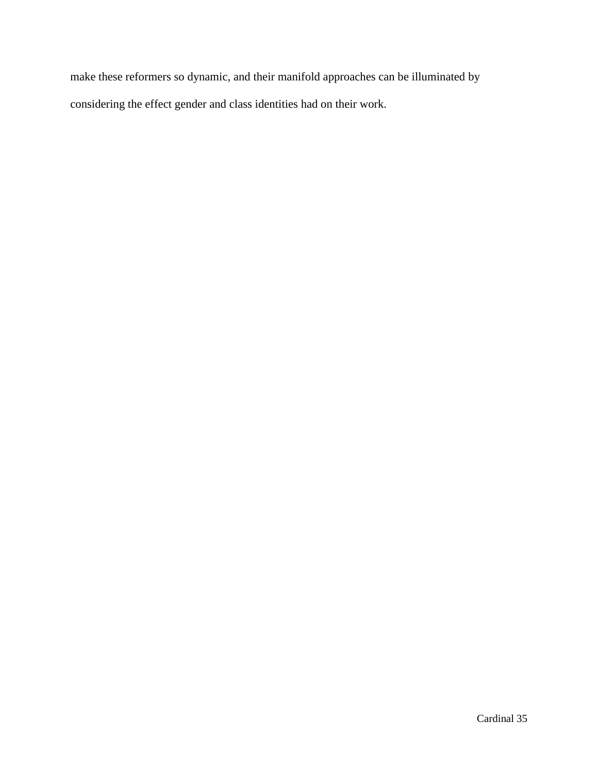make these reformers so dynamic, and their manifold approaches can be illuminated by considering the effect gender and class identities had on their work.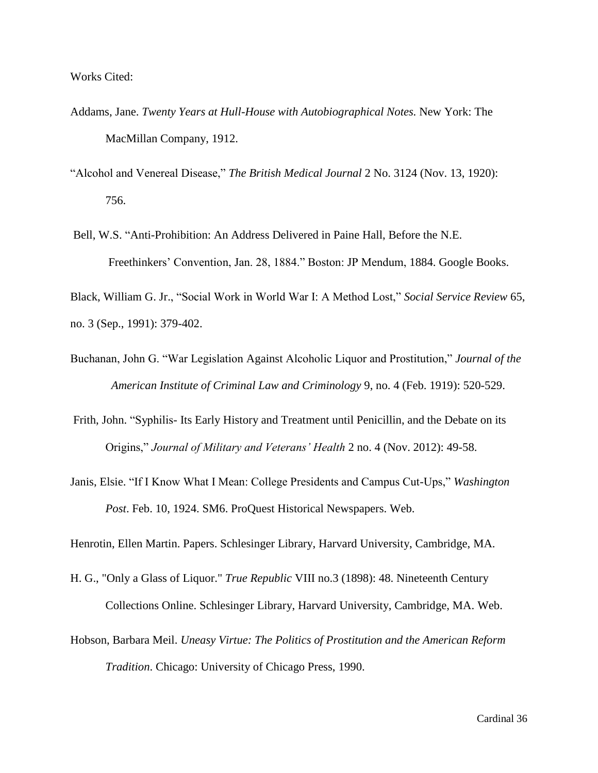Works Cited:

- Addams, Jane. *Twenty Years at Hull-House with Autobiographical Notes.* New York: The MacMillan Company, 1912.
- "Alcohol and Venereal Disease," *The British Medical Journal* 2 No. 3124 (Nov. 13, 1920): 756.
- Bell, W.S. "Anti-Prohibition: An Address Delivered in Paine Hall, Before the N.E. Freethinkers' Convention, Jan. 28, 1884." Boston: JP Mendum, 1884. Google Books.

Black, William G. Jr., "Social Work in World War I: A Method Lost," *Social Service Review* 65, no. 3 (Sep., 1991): 379-402.

- Buchanan, John G. "War Legislation Against Alcoholic Liquor and Prostitution," *Journal of the American Institute of Criminal Law and Criminology* 9, no. 4 (Feb. 1919): 520-529.
- Frith, John. "Syphilis- Its Early History and Treatment until Penicillin, and the Debate on its Origins," *Journal of Military and Veterans' Health* 2 no. 4 (Nov. 2012): 49-58.
- Janis, Elsie. "If I Know What I Mean: College Presidents and Campus Cut-Ups," *Washington Post*. Feb. 10, 1924. SM6. ProQuest Historical Newspapers. Web.

Henrotin, Ellen Martin. Papers. Schlesinger Library, Harvard University, Cambridge, MA.

- H. G., "Only a Glass of Liquor." *True Republic* VIII no.3 (1898): 48. Nineteenth Century Collections Online. Schlesinger Library, Harvard University, Cambridge, MA. Web.
- Hobson, Barbara Meil. *Uneasy Virtue: The Politics of Prostitution and the American Reform Tradition*. Chicago: University of Chicago Press, 1990.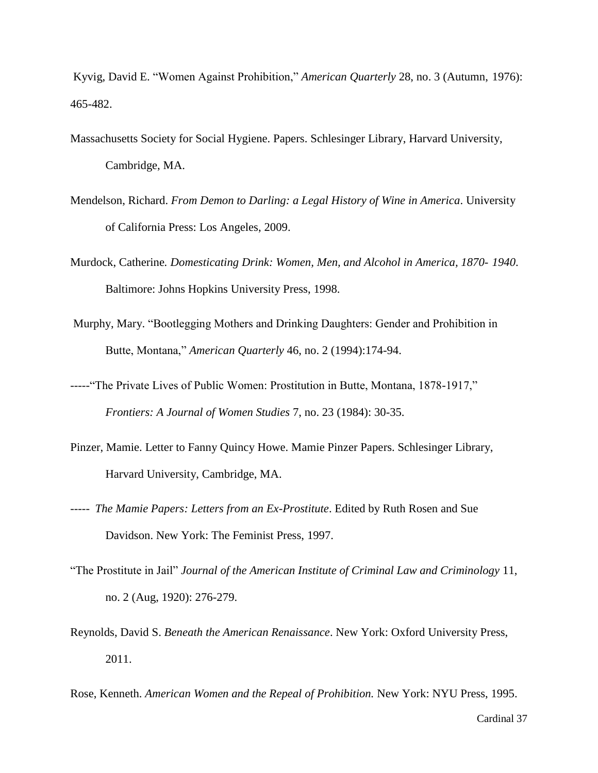Kyvig, David E. "Women Against Prohibition," *American Quarterly* 28, no. 3 (Autumn, 1976): 465-482.

- Massachusetts Society for Social Hygiene. Papers. Schlesinger Library, Harvard University, Cambridge, MA.
- Mendelson, Richard. *From Demon to Darling: a Legal History of Wine in America*. University of California Press: Los Angeles, 2009.
- Murdock, Catherine*. Domesticating Drink: Women, Men, and Alcohol in America, 1870- 1940*. Baltimore: Johns Hopkins University Press, 1998.
- Murphy, Mary. "Bootlegging Mothers and Drinking Daughters: Gender and Prohibition in Butte, Montana," *American Quarterly* 46, no. 2 (1994):174-94.
- -----"The Private Lives of Public Women: Prostitution in Butte, Montana, 1878-1917," *Frontiers: A Journal of Women Studies* 7, no. 23 (1984): 30-35.
- Pinzer, Mamie. Letter to Fanny Quincy Howe. Mamie Pinzer Papers. Schlesinger Library, Harvard University, Cambridge, MA.
- ----- *The Mamie Papers: Letters from an Ex-Prostitute*. Edited by Ruth Rosen and Sue Davidson. New York: The Feminist Press, 1997.
- "The Prostitute in Jail" *Journal of the American Institute of Criminal Law and Criminology* 11, no. 2 (Aug, 1920): 276-279.
- Reynolds, David S. *Beneath the American Renaissance*. New York: Oxford University Press, 2011.

Rose, Kenneth. *American Women and the Repeal of Prohibition.* New York: NYU Press, 1995.